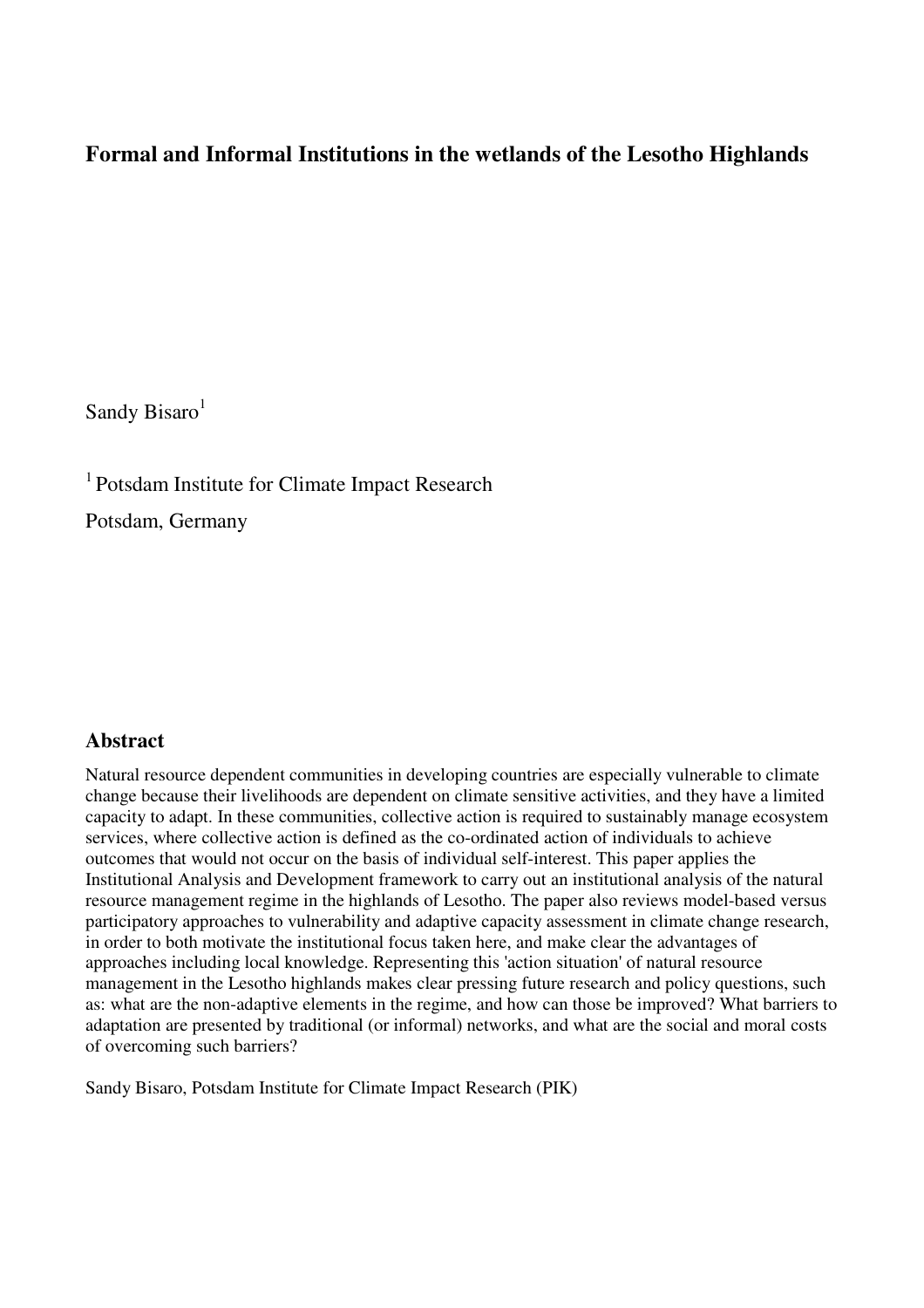# **Formal and Informal Institutions in the wetlands of the Lesotho Highlands**

Sandy Bisaro $<sup>1</sup>$ </sup>

<sup>1</sup> Potsdam Institute for Climate Impact Research

Potsdam, Germany

# **Abstract**

Natural resource dependent communities in developing countries are especially vulnerable to climate change because their livelihoods are dependent on climate sensitive activities, and they have a limited capacity to adapt. In these communities, collective action is required to sustainably manage ecosystem services, where collective action is defined as the co-ordinated action of individuals to achieve outcomes that would not occur on the basis of individual self-interest. This paper applies the Institutional Analysis and Development framework to carry out an institutional analysis of the natural resource management regime in the highlands of Lesotho. The paper also reviews model-based versus participatory approaches to vulnerability and adaptive capacity assessment in climate change research, in order to both motivate the institutional focus taken here, and make clear the advantages of approaches including local knowledge. Representing this 'action situation' of natural resource management in the Lesotho highlands makes clear pressing future research and policy questions, such as: what are the non-adaptive elements in the regime, and how can those be improved? What barriers to adaptation are presented by traditional (or informal) networks, and what are the social and moral costs of overcoming such barriers?

Sandy Bisaro, Potsdam Institute for Climate Impact Research (PIK)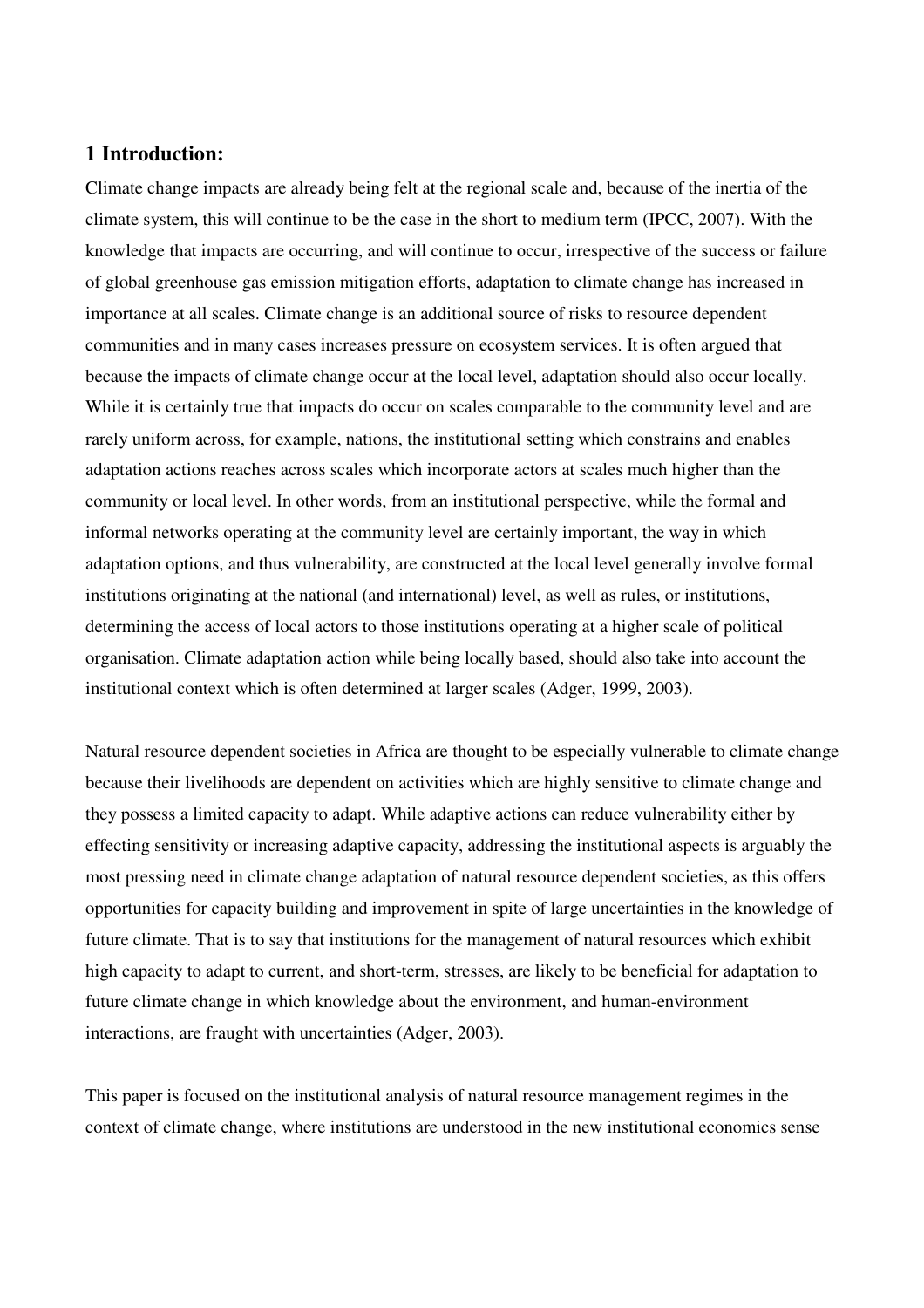# **1 Introduction:**

Climate change impacts are already being felt at the regional scale and, because of the inertia of the climate system, this will continue to be the case in the short to medium term (IPCC, 2007). With the knowledge that impacts are occurring, and will continue to occur, irrespective of the success or failure of global greenhouse gas emission mitigation efforts, adaptation to climate change has increased in importance at all scales. Climate change is an additional source of risks to resource dependent communities and in many cases increases pressure on ecosystem services. It is often argued that because the impacts of climate change occur at the local level, adaptation should also occur locally. While it is certainly true that impacts do occur on scales comparable to the community level and are rarely uniform across, for example, nations, the institutional setting which constrains and enables adaptation actions reaches across scales which incorporate actors at scales much higher than the community or local level. In other words, from an institutional perspective, while the formal and informal networks operating at the community level are certainly important, the way in which adaptation options, and thus vulnerability, are constructed at the local level generally involve formal institutions originating at the national (and international) level, as well as rules, or institutions, determining the access of local actors to those institutions operating at a higher scale of political organisation. Climate adaptation action while being locally based, should also take into account the institutional context which is often determined at larger scales (Adger, 1999, 2003).

Natural resource dependent societies in Africa are thought to be especially vulnerable to climate change because their livelihoods are dependent on activities which are highly sensitive to climate change and they possess a limited capacity to adapt. While adaptive actions can reduce vulnerability either by effecting sensitivity or increasing adaptive capacity, addressing the institutional aspects is arguably the most pressing need in climate change adaptation of natural resource dependent societies, as this offers opportunities for capacity building and improvement in spite of large uncertainties in the knowledge of future climate. That is to say that institutions for the management of natural resources which exhibit high capacity to adapt to current, and short-term, stresses, are likely to be beneficial for adaptation to future climate change in which knowledge about the environment, and human-environment interactions, are fraught with uncertainties (Adger, 2003).

This paper is focused on the institutional analysis of natural resource management regimes in the context of climate change, where institutions are understood in the new institutional economics sense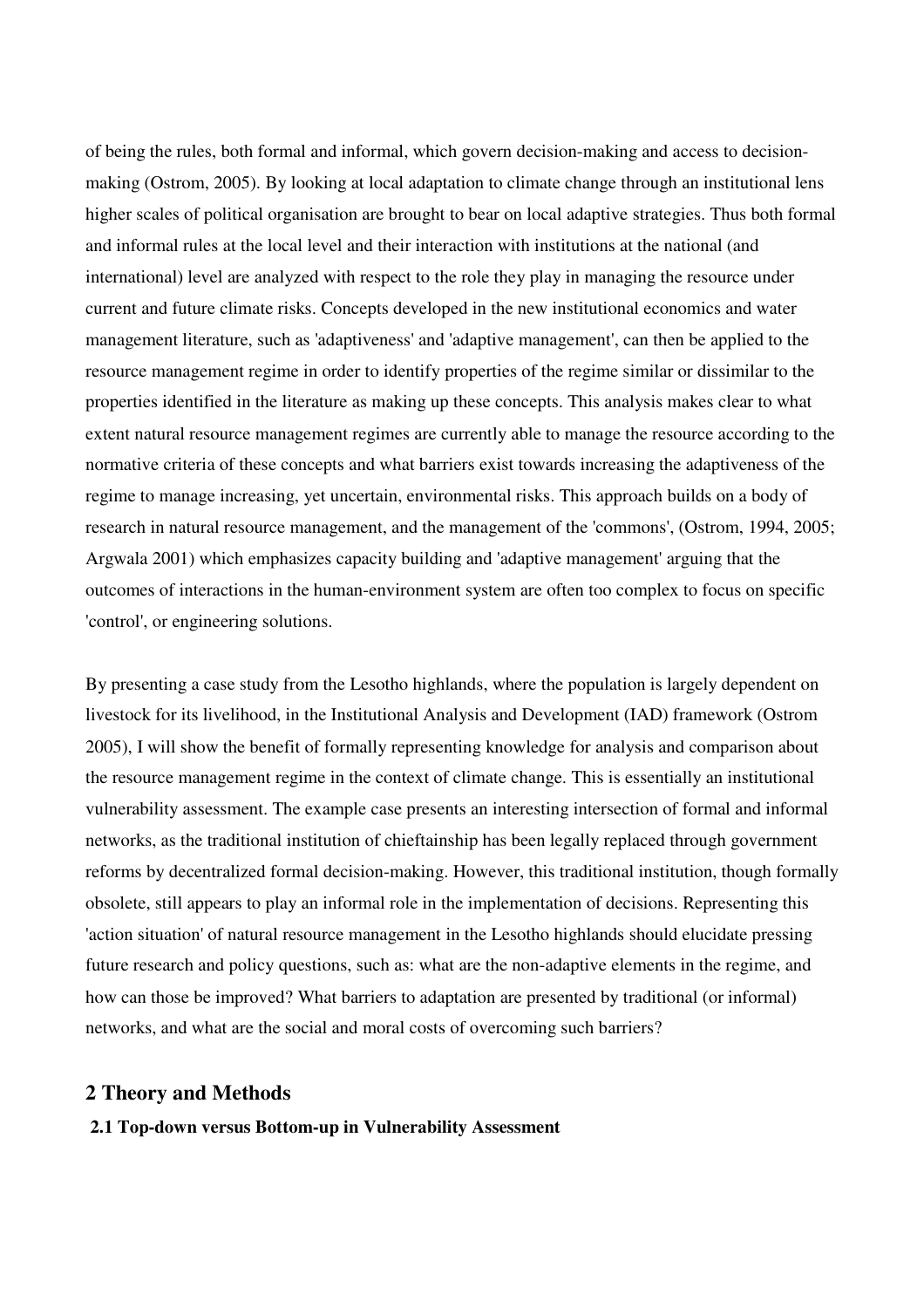of being the rules, both formal and informal, which govern decision-making and access to decisionmaking (Ostrom, 2005). By looking at local adaptation to climate change through an institutional lens higher scales of political organisation are brought to bear on local adaptive strategies. Thus both formal and informal rules at the local level and their interaction with institutions at the national (and international) level are analyzed with respect to the role they play in managing the resource under current and future climate risks. Concepts developed in the new institutional economics and water management literature, such as 'adaptiveness' and 'adaptive management', can then be applied to the resource management regime in order to identify properties of the regime similar or dissimilar to the properties identified in the literature as making up these concepts. This analysis makes clear to what extent natural resource management regimes are currently able to manage the resource according to the normative criteria of these concepts and what barriers exist towards increasing the adaptiveness of the regime to manage increasing, yet uncertain, environmental risks. This approach builds on a body of research in natural resource management, and the management of the 'commons', (Ostrom, 1994, 2005; Argwala 2001) which emphasizes capacity building and 'adaptive management' arguing that the outcomes of interactions in the human-environment system are often too complex to focus on specific 'control', or engineering solutions.

By presenting a case study from the Lesotho highlands, where the population is largely dependent on livestock for its livelihood, in the Institutional Analysis and Development (IAD) framework (Ostrom 2005), I will show the benefit of formally representing knowledge for analysis and comparison about the resource management regime in the context of climate change. This is essentially an institutional vulnerability assessment. The example case presents an interesting intersection of formal and informal networks, as the traditional institution of chieftainship has been legally replaced through government reforms by decentralized formal decision-making. However, this traditional institution, though formally obsolete, still appears to play an informal role in the implementation of decisions. Representing this 'action situation' of natural resource management in the Lesotho highlands should elucidate pressing future research and policy questions, such as: what are the non-adaptive elements in the regime, and how can those be improved? What barriers to adaptation are presented by traditional (or informal) networks, and what are the social and moral costs of overcoming such barriers?

# **2 Theory and Methods**

**2.1 Top-down versus Bottom-up in Vulnerability Assessment**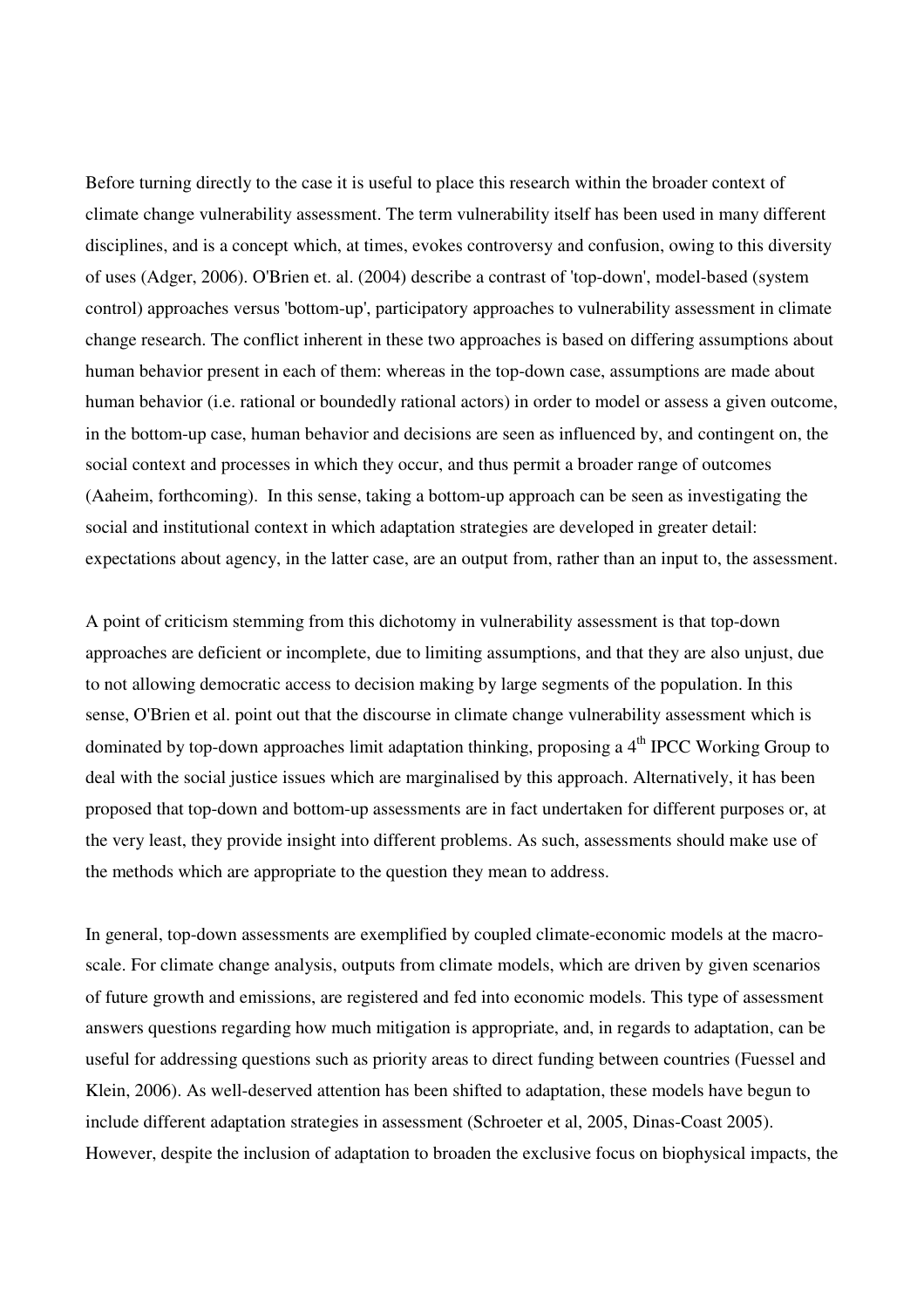Before turning directly to the case it is useful to place this research within the broader context of climate change vulnerability assessment. The term vulnerability itself has been used in many different disciplines, and is a concept which, at times, evokes controversy and confusion, owing to this diversity of uses (Adger, 2006). O'Brien et. al. (2004) describe a contrast of 'top-down', model-based (system control) approaches versus 'bottom-up', participatory approaches to vulnerability assessment in climate change research. The conflict inherent in these two approaches is based on differing assumptions about human behavior present in each of them: whereas in the top-down case, assumptions are made about human behavior (i.e. rational or boundedly rational actors) in order to model or assess a given outcome, in the bottom-up case, human behavior and decisions are seen as influenced by, and contingent on, the social context and processes in which they occur, and thus permit a broader range of outcomes (Aaheim, forthcoming). In this sense, taking a bottom-up approach can be seen as investigating the social and institutional context in which adaptation strategies are developed in greater detail: expectations about agency, in the latter case, are an output from, rather than an input to, the assessment.

A point of criticism stemming from this dichotomy in vulnerability assessment is that top-down approaches are deficient or incomplete, due to limiting assumptions, and that they are also unjust, due to not allowing democratic access to decision making by large segments of the population. In this sense, O'Brien et al. point out that the discourse in climate change vulnerability assessment which is dominated by top-down approaches limit adaptation thinking, proposing a 4<sup>th</sup> IPCC Working Group to deal with the social justice issues which are marginalised by this approach. Alternatively, it has been proposed that top-down and bottom-up assessments are in fact undertaken for different purposes or, at the very least, they provide insight into different problems. As such, assessments should make use of the methods which are appropriate to the question they mean to address.

In general, top-down assessments are exemplified by coupled climate-economic models at the macroscale. For climate change analysis, outputs from climate models, which are driven by given scenarios of future growth and emissions, are registered and fed into economic models. This type of assessment answers questions regarding how much mitigation is appropriate, and, in regards to adaptation, can be useful for addressing questions such as priority areas to direct funding between countries (Fuessel and Klein, 2006). As well-deserved attention has been shifted to adaptation, these models have begun to include different adaptation strategies in assessment (Schroeter et al, 2005, Dinas-Coast 2005). However, despite the inclusion of adaptation to broaden the exclusive focus on biophysical impacts, the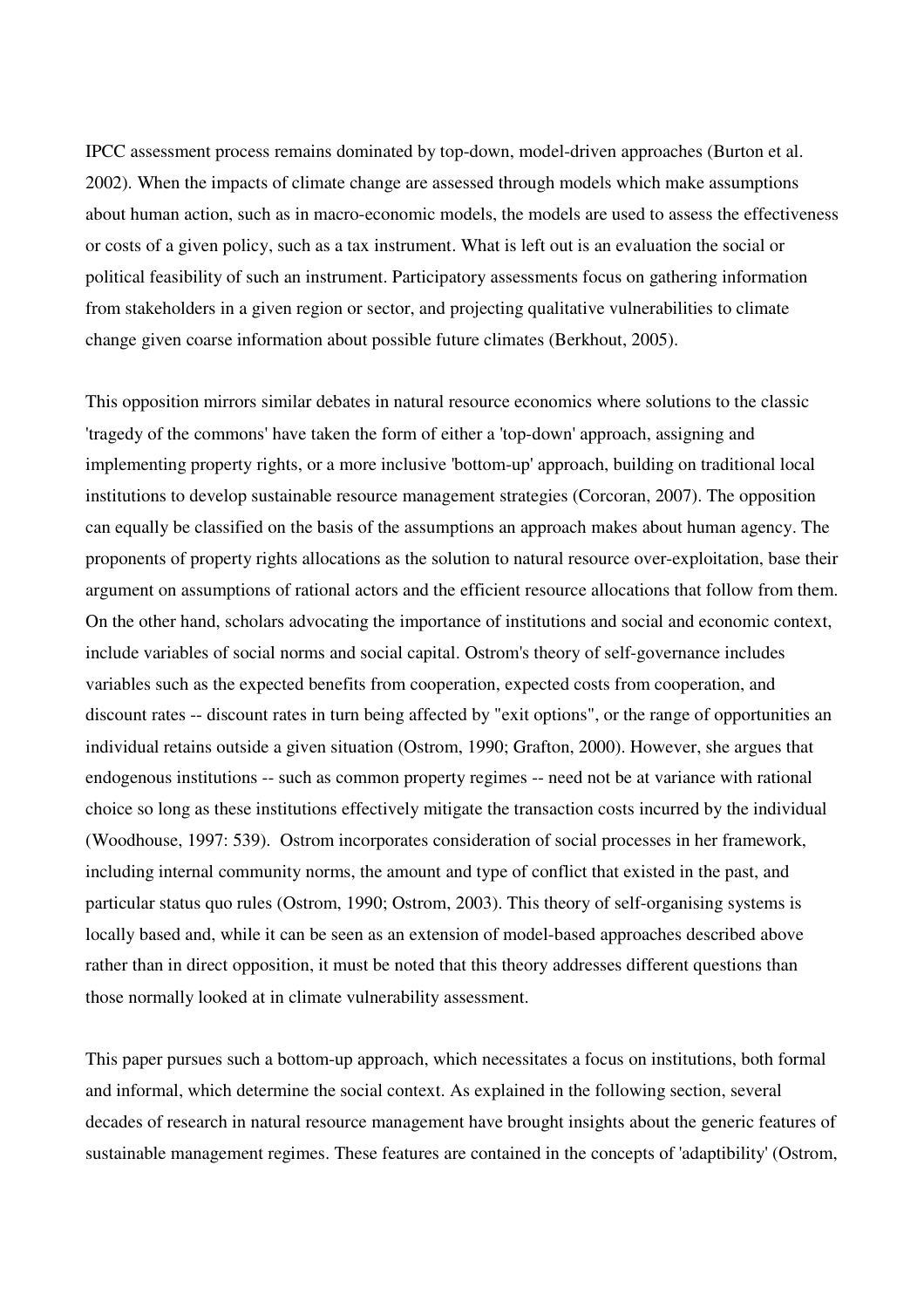IPCC assessment process remains dominated by top-down, model-driven approaches (Burton et al. 2002). When the impacts of climate change are assessed through models which make assumptions about human action, such as in macro-economic models, the models are used to assess the effectiveness or costs of a given policy, such as a tax instrument. What is left out is an evaluation the social or political feasibility of such an instrument. Participatory assessments focus on gathering information from stakeholders in a given region or sector, and projecting qualitative vulnerabilities to climate change given coarse information about possible future climates (Berkhout, 2005).

This opposition mirrors similar debates in natural resource economics where solutions to the classic 'tragedy of the commons' have taken the form of either a 'top-down' approach, assigning and implementing property rights, or a more inclusive 'bottom-up' approach, building on traditional local institutions to develop sustainable resource management strategies (Corcoran, 2007). The opposition can equally be classified on the basis of the assumptions an approach makes about human agency. The proponents of property rights allocations as the solution to natural resource over-exploitation, base their argument on assumptions of rational actors and the efficient resource allocations that follow from them. On the other hand, scholars advocating the importance of institutions and social and economic context, include variables of social norms and social capital. Ostrom's theory of self-governance includes variables such as the expected benefits from cooperation, expected costs from cooperation, and discount rates -- discount rates in turn being affected by "exit options", or the range of opportunities an individual retains outside a given situation (Ostrom, 1990; Grafton, 2000). However, she argues that endogenous institutions -- such as common property regimes -- need not be at variance with rational choice so long as these institutions effectively mitigate the transaction costs incurred by the individual (Woodhouse, 1997: 539). Ostrom incorporates consideration of social processes in her framework, including internal community norms, the amount and type of conflict that existed in the past, and particular status quo rules (Ostrom, 1990; Ostrom, 2003). This theory of self-organising systems is locally based and, while it can be seen as an extension of model-based approaches described above rather than in direct opposition, it must be noted that this theory addresses different questions than those normally looked at in climate vulnerability assessment.

This paper pursues such a bottom-up approach, which necessitates a focus on institutions, both formal and informal, which determine the social context. As explained in the following section, several decades of research in natural resource management have brought insights about the generic features of sustainable management regimes. These features are contained in the concepts of 'adaptibility' (Ostrom,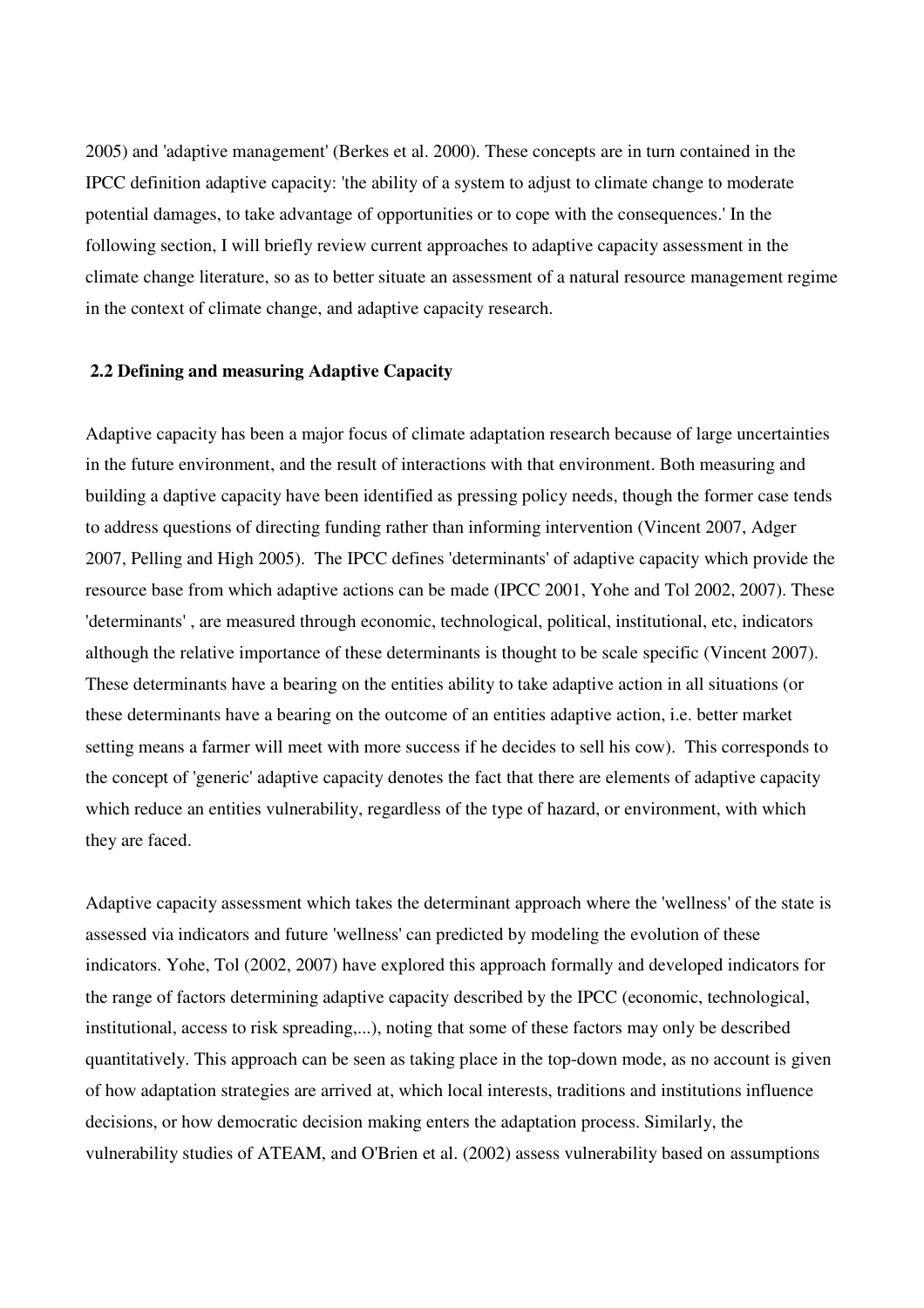2005) and 'adaptive management' (Berkes et al. 2000). These concepts are in turn contained in the IPCC definition adaptive capacity: 'the ability of a system to adjust to climate change to moderate potential damages, to take advantage of opportunities or to cope with the consequences.' In the following section, I will briefly review current approaches to adaptive capacity assessment in the climate change literature, so as to better situate an assessment of a natural resource management regime in the context of climate change, and adaptive capacity research.

### **2.2 Defining and measuring Adaptive Capacity**

Adaptive capacity has been a major focus of climate adaptation research because of large uncertainties in the future environment, and the result of interactions with that environment. Both measuring and building a daptive capacity have been identified as pressing policy needs, though the former case tends to address questions of directing funding rather than informing intervention (Vincent 2007, Adger 2007, Pelling and High 2005). The IPCC defines 'determinants' of adaptive capacity which provide the resource base from which adaptive actions can be made (IPCC 2001, Yohe and Tol 2002, 2007). These 'determinants' , are measured through economic, technological, political, institutional, etc, indicators although the relative importance of these determinants is thought to be scale specific (Vincent 2007). These determinants have a bearing on the entities ability to take adaptive action in all situations (or these determinants have a bearing on the outcome of an entities adaptive action, i.e. better market setting means a farmer will meet with more success if he decides to sell his cow). This corresponds to the concept of 'generic' adaptive capacity denotes the fact that there are elements of adaptive capacity which reduce an entities vulnerability, regardless of the type of hazard, or environment, with which they are faced.

Adaptive capacity assessment which takes the determinant approach where the 'wellness' of the state is assessed via indicators and future 'wellness' can predicted by modeling the evolution of these indicators. Yohe, Tol (2002, 2007) have explored this approach formally and developed indicators for the range of factors determining adaptive capacity described by the IPCC (economic, technological, institutional, access to risk spreading,...), noting that some of these factors may only be described quantitatively. This approach can be seen as taking place in the top-down mode, as no account is given of how adaptation strategies are arrived at, which local interests, traditions and institutions influence decisions, or how democratic decision making enters the adaptation process. Similarly, the vulnerability studies of ATEAM, and O'Brien et al. (2002) assess vulnerability based on assumptions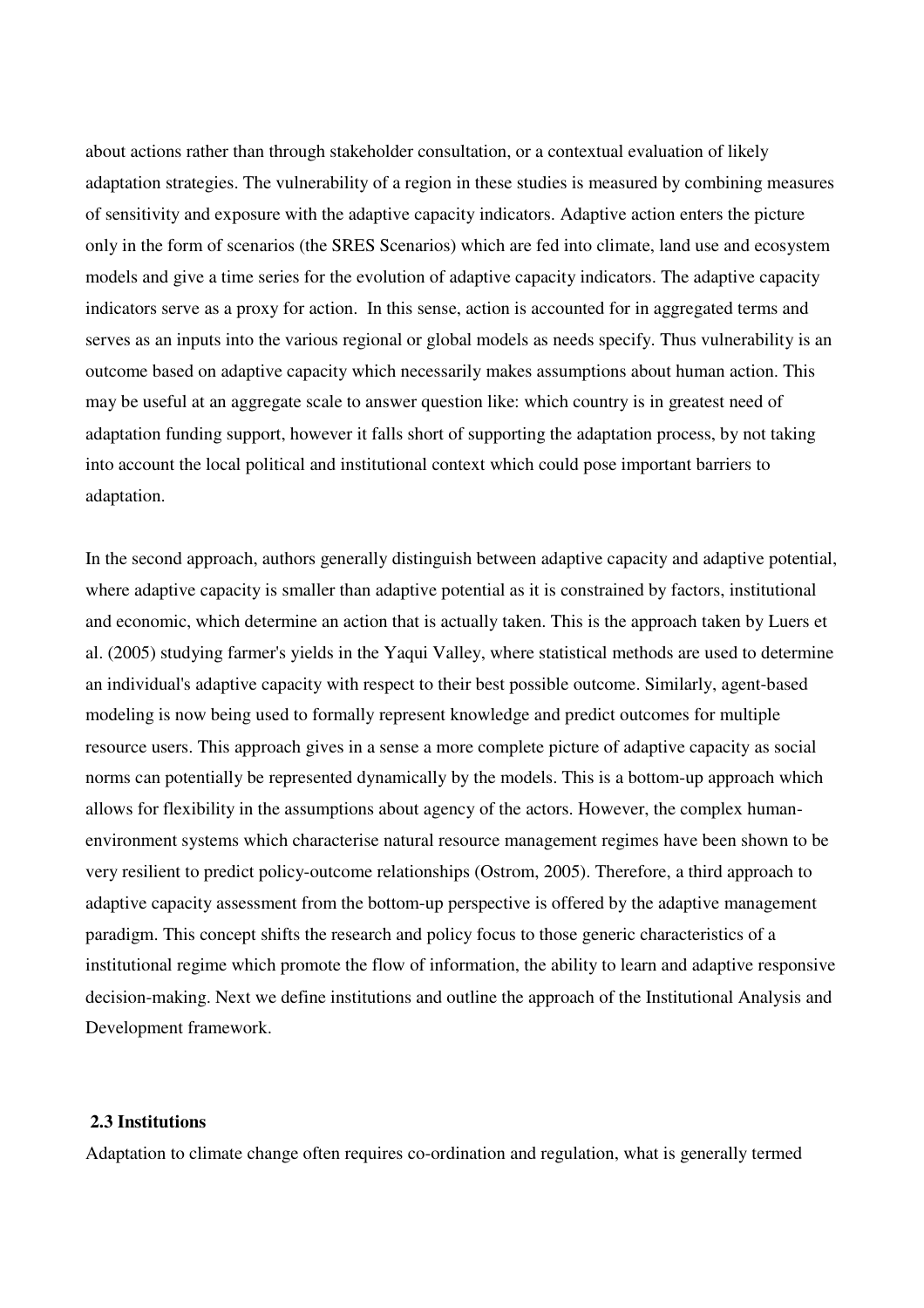about actions rather than through stakeholder consultation, or a contextual evaluation of likely adaptation strategies. The vulnerability of a region in these studies is measured by combining measures of sensitivity and exposure with the adaptive capacity indicators. Adaptive action enters the picture only in the form of scenarios (the SRES Scenarios) which are fed into climate, land use and ecosystem models and give a time series for the evolution of adaptive capacity indicators. The adaptive capacity indicators serve as a proxy for action. In this sense, action is accounted for in aggregated terms and serves as an inputs into the various regional or global models as needs specify. Thus vulnerability is an outcome based on adaptive capacity which necessarily makes assumptions about human action. This may be useful at an aggregate scale to answer question like: which country is in greatest need of adaptation funding support, however it falls short of supporting the adaptation process, by not taking into account the local political and institutional context which could pose important barriers to adaptation.

In the second approach, authors generally distinguish between adaptive capacity and adaptive potential, where adaptive capacity is smaller than adaptive potential as it is constrained by factors, institutional and economic, which determine an action that is actually taken. This is the approach taken by Luers et al. (2005) studying farmer's yields in the Yaqui Valley, where statistical methods are used to determine an individual's adaptive capacity with respect to their best possible outcome. Similarly, agent-based modeling is now being used to formally represent knowledge and predict outcomes for multiple resource users. This approach gives in a sense a more complete picture of adaptive capacity as social norms can potentially be represented dynamically by the models. This is a bottom-up approach which allows for flexibility in the assumptions about agency of the actors. However, the complex humanenvironment systems which characterise natural resource management regimes have been shown to be very resilient to predict policy-outcome relationships (Ostrom, 2005). Therefore, a third approach to adaptive capacity assessment from the bottom-up perspective is offered by the adaptive management paradigm. This concept shifts the research and policy focus to those generic characteristics of a institutional regime which promote the flow of information, the ability to learn and adaptive responsive decision-making. Next we define institutions and outline the approach of the Institutional Analysis and Development framework.

# **2.3 Institutions**

Adaptation to climate change often requires co-ordination and regulation, what is generally termed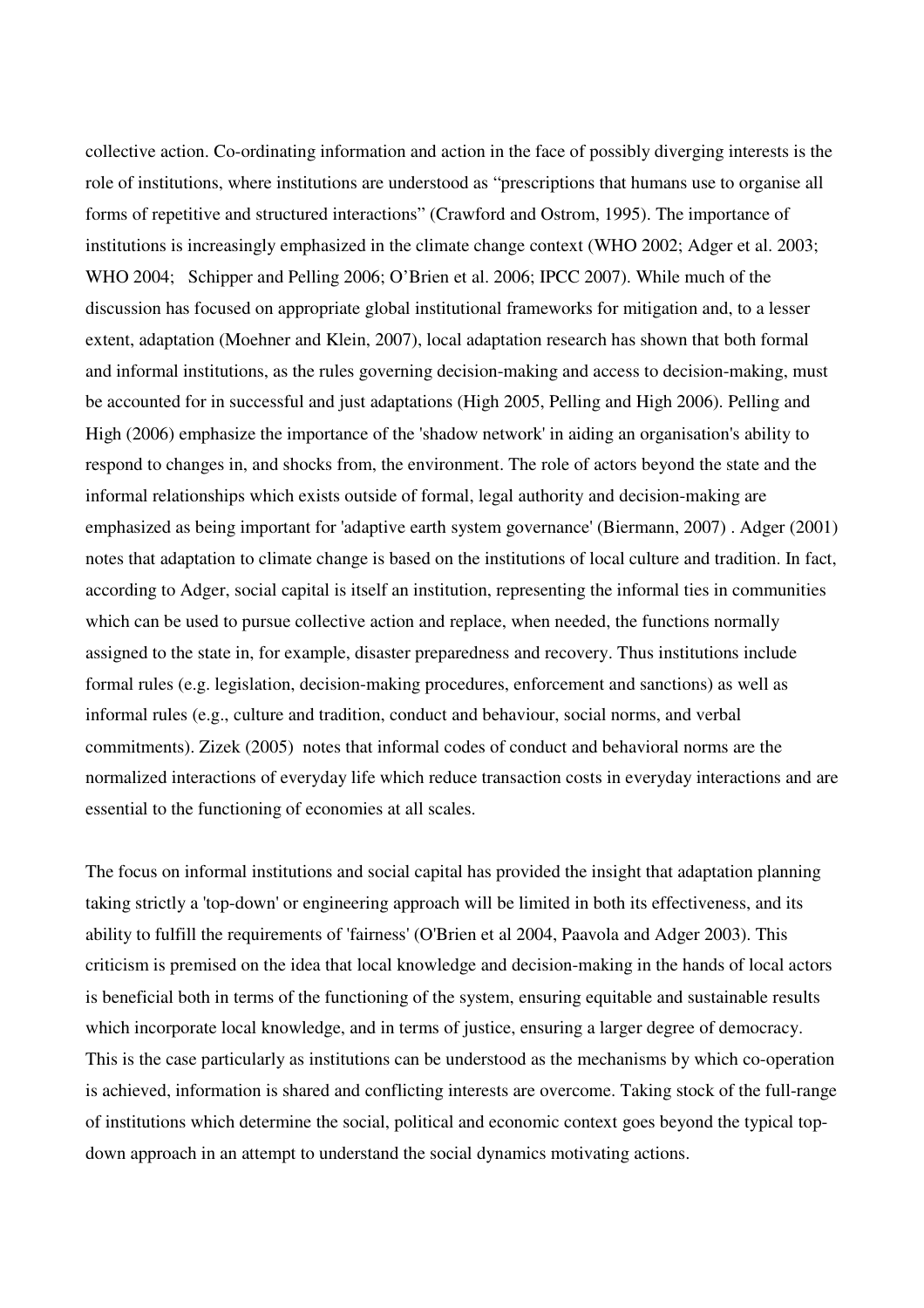collective action. Co-ordinating information and action in the face of possibly diverging interests is the role of institutions, where institutions are understood as "prescriptions that humans use to organise all forms of repetitive and structured interactions" (Crawford and Ostrom, 1995). The importance of institutions is increasingly emphasized in the climate change context (WHO 2002; Adger et al. 2003; WHO 2004; Schipper and Pelling 2006; O'Brien et al. 2006; IPCC 2007). While much of the discussion has focused on appropriate global institutional frameworks for mitigation and, to a lesser extent, adaptation (Moehner and Klein, 2007), local adaptation research has shown that both formal and informal institutions, as the rules governing decision-making and access to decision-making, must be accounted for in successful and just adaptations (High 2005, Pelling and High 2006). Pelling and High (2006) emphasize the importance of the 'shadow network' in aiding an organisation's ability to respond to changes in, and shocks from, the environment. The role of actors beyond the state and the informal relationships which exists outside of formal, legal authority and decision-making are emphasized as being important for 'adaptive earth system governance' (Biermann, 2007) . Adger (2001) notes that adaptation to climate change is based on the institutions of local culture and tradition. In fact, according to Adger, social capital is itself an institution, representing the informal ties in communities which can be used to pursue collective action and replace, when needed, the functions normally assigned to the state in, for example, disaster preparedness and recovery. Thus institutions include formal rules (e.g. legislation, decision-making procedures, enforcement and sanctions) as well as informal rules (e.g., culture and tradition, conduct and behaviour, social norms, and verbal commitments). Zizek (2005) notes that informal codes of conduct and behavioral norms are the normalized interactions of everyday life which reduce transaction costs in everyday interactions and are essential to the functioning of economies at all scales.

The focus on informal institutions and social capital has provided the insight that adaptation planning taking strictly a 'top-down' or engineering approach will be limited in both its effectiveness, and its ability to fulfill the requirements of 'fairness' (O'Brien et al 2004, Paavola and Adger 2003). This criticism is premised on the idea that local knowledge and decision-making in the hands of local actors is beneficial both in terms of the functioning of the system, ensuring equitable and sustainable results which incorporate local knowledge, and in terms of justice, ensuring a larger degree of democracy. This is the case particularly as institutions can be understood as the mechanisms by which co-operation is achieved, information is shared and conflicting interests are overcome. Taking stock of the full-range of institutions which determine the social, political and economic context goes beyond the typical topdown approach in an attempt to understand the social dynamics motivating actions.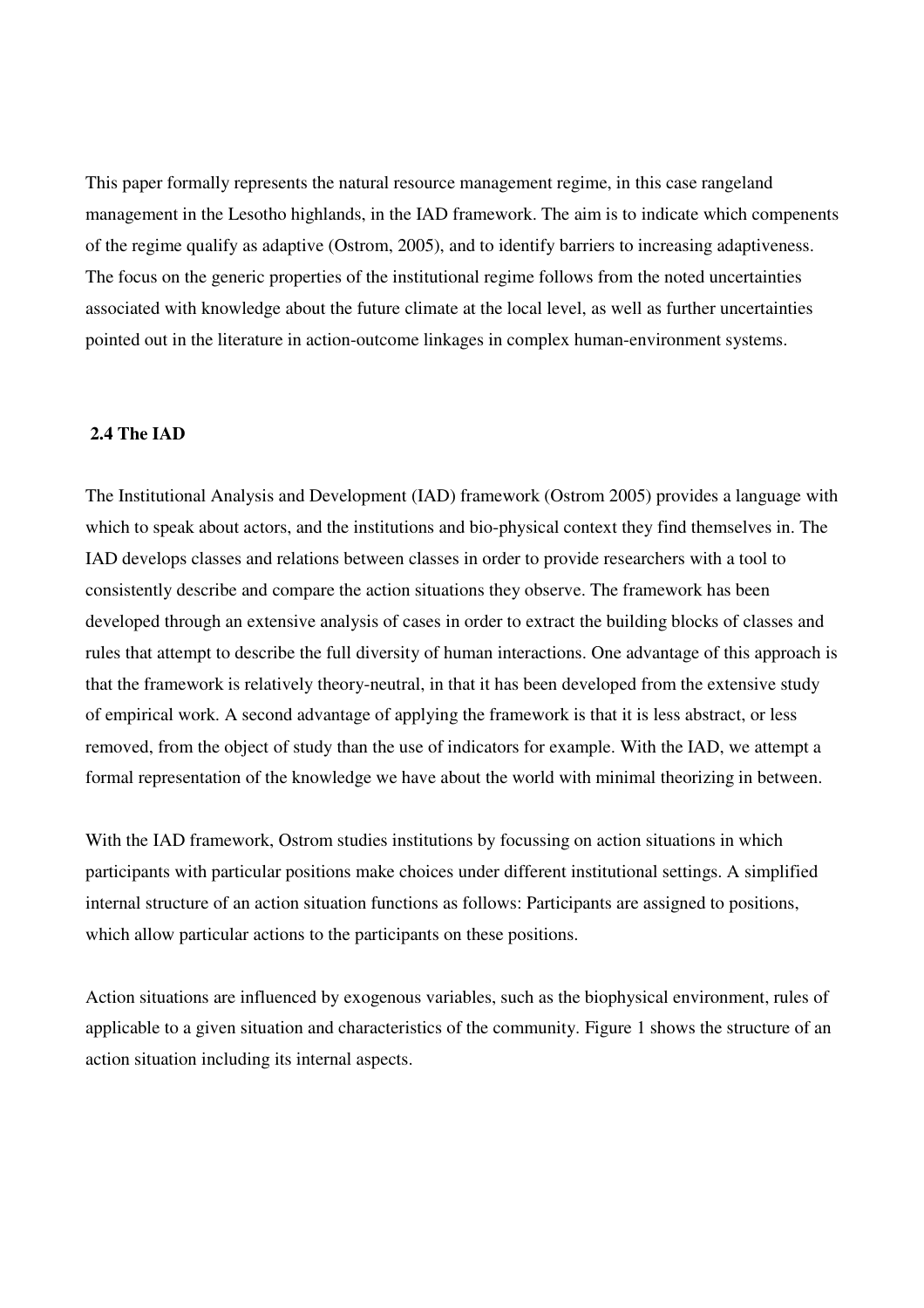This paper formally represents the natural resource management regime, in this case rangeland management in the Lesotho highlands, in the IAD framework. The aim is to indicate which compenents of the regime qualify as adaptive (Ostrom, 2005), and to identify barriers to increasing adaptiveness. The focus on the generic properties of the institutional regime follows from the noted uncertainties associated with knowledge about the future climate at the local level, as well as further uncertainties pointed out in the literature in action-outcome linkages in complex human-environment systems.

# **2.4 The IAD**

The Institutional Analysis and Development (IAD) framework (Ostrom 2005) provides a language with which to speak about actors, and the institutions and bio-physical context they find themselves in. The IAD develops classes and relations between classes in order to provide researchers with a tool to consistently describe and compare the action situations they observe. The framework has been developed through an extensive analysis of cases in order to extract the building blocks of classes and rules that attempt to describe the full diversity of human interactions. One advantage of this approach is that the framework is relatively theory-neutral, in that it has been developed from the extensive study of empirical work. A second advantage of applying the framework is that it is less abstract, or less removed, from the object of study than the use of indicators for example. With the IAD, we attempt a formal representation of the knowledge we have about the world with minimal theorizing in between.

With the IAD framework, Ostrom studies institutions by focussing on action situations in which participants with particular positions make choices under different institutional settings. A simplified internal structure of an action situation functions as follows: Participants are assigned to positions, which allow particular actions to the participants on these positions.

Action situations are influenced by exogenous variables, such as the biophysical environment, rules of applicable to a given situation and characteristics of the community. Figure 1 shows the structure of an action situation including its internal aspects.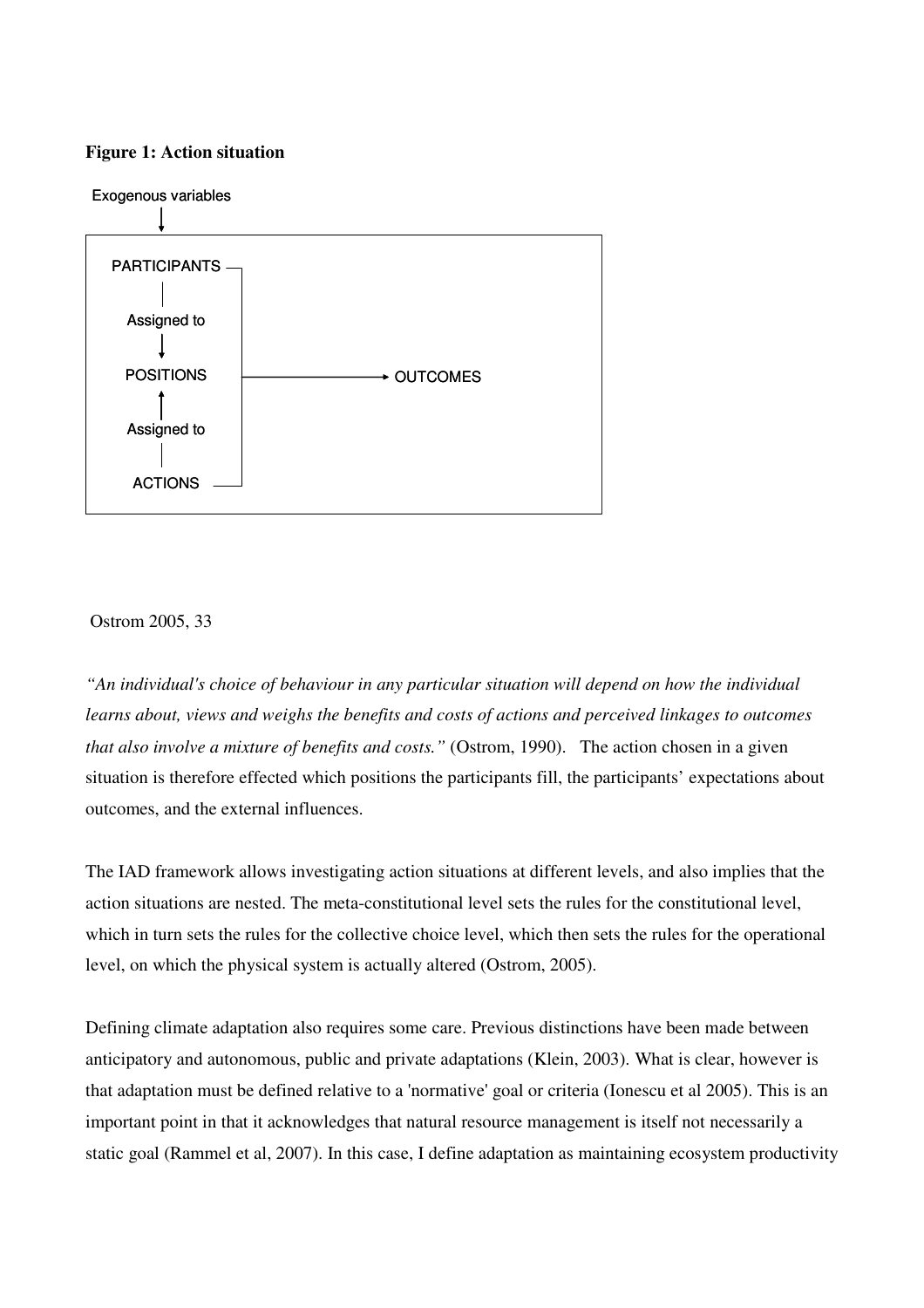#### **Figure 1: Action situation**



### Ostrom 2005, 33

*"An individual's choice of behaviour in any particular situation will depend on how the individual learns about, views and weighs the benefits and costs of actions and perceived linkages to outcomes that also involve a mixture of benefits and costs."* (Ostrom, 1990). The action chosen in a given situation is therefore effected which positions the participants fill, the participants' expectations about outcomes, and the external influences.

The IAD framework allows investigating action situations at different levels, and also implies that the action situations are nested. The meta-constitutional level sets the rules for the constitutional level, which in turn sets the rules for the collective choice level, which then sets the rules for the operational level, on which the physical system is actually altered (Ostrom, 2005).

Defining climate adaptation also requires some care. Previous distinctions have been made between anticipatory and autonomous, public and private adaptations (Klein, 2003). What is clear, however is that adaptation must be defined relative to a 'normative' goal or criteria (Ionescu et al 2005). This is an important point in that it acknowledges that natural resource management is itself not necessarily a static goal (Rammel et al, 2007). In this case, I define adaptation as maintaining ecosystem productivity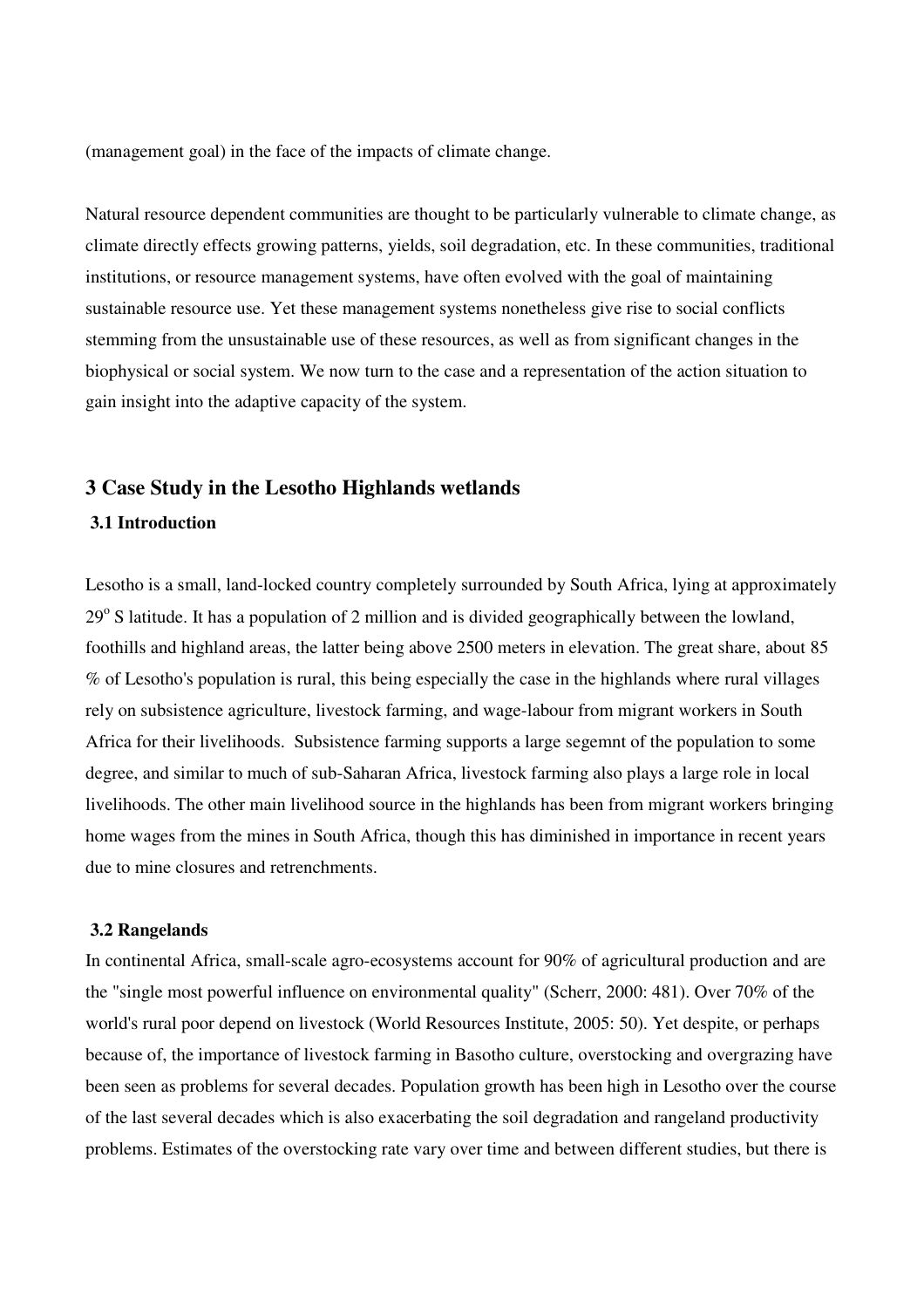(management goal) in the face of the impacts of climate change.

Natural resource dependent communities are thought to be particularly vulnerable to climate change, as climate directly effects growing patterns, yields, soil degradation, etc. In these communities, traditional institutions, or resource management systems, have often evolved with the goal of maintaining sustainable resource use. Yet these management systems nonetheless give rise to social conflicts stemming from the unsustainable use of these resources, as well as from significant changes in the biophysical or social system. We now turn to the case and a representation of the action situation to gain insight into the adaptive capacity of the system.

# **3 Case Study in the Lesotho Highlands wetlands**

## **3.1 Introduction**

Lesotho is a small, land-locked country completely surrounded by South Africa, lying at approximately 29° S latitude. It has a population of 2 million and is divided geographically between the lowland, foothills and highland areas, the latter being above 2500 meters in elevation. The great share, about 85 % of Lesotho's population is rural, this being especially the case in the highlands where rural villages rely on subsistence agriculture, livestock farming, and wage-labour from migrant workers in South Africa for their livelihoods. Subsistence farming supports a large segemnt of the population to some degree, and similar to much of sub-Saharan Africa, livestock farming also plays a large role in local livelihoods. The other main livelihood source in the highlands has been from migrant workers bringing home wages from the mines in South Africa, though this has diminished in importance in recent years due to mine closures and retrenchments.

## **3.2 Rangelands**

In continental Africa, small-scale agro-ecosystems account for 90% of agricultural production and are the "single most powerful influence on environmental quality" (Scherr, 2000: 481). Over 70% of the world's rural poor depend on livestock (World Resources Institute, 2005: 50). Yet despite, or perhaps because of, the importance of livestock farming in Basotho culture, overstocking and overgrazing have been seen as problems for several decades. Population growth has been high in Lesotho over the course of the last several decades which is also exacerbating the soil degradation and rangeland productivity problems. Estimates of the overstocking rate vary over time and between different studies, but there is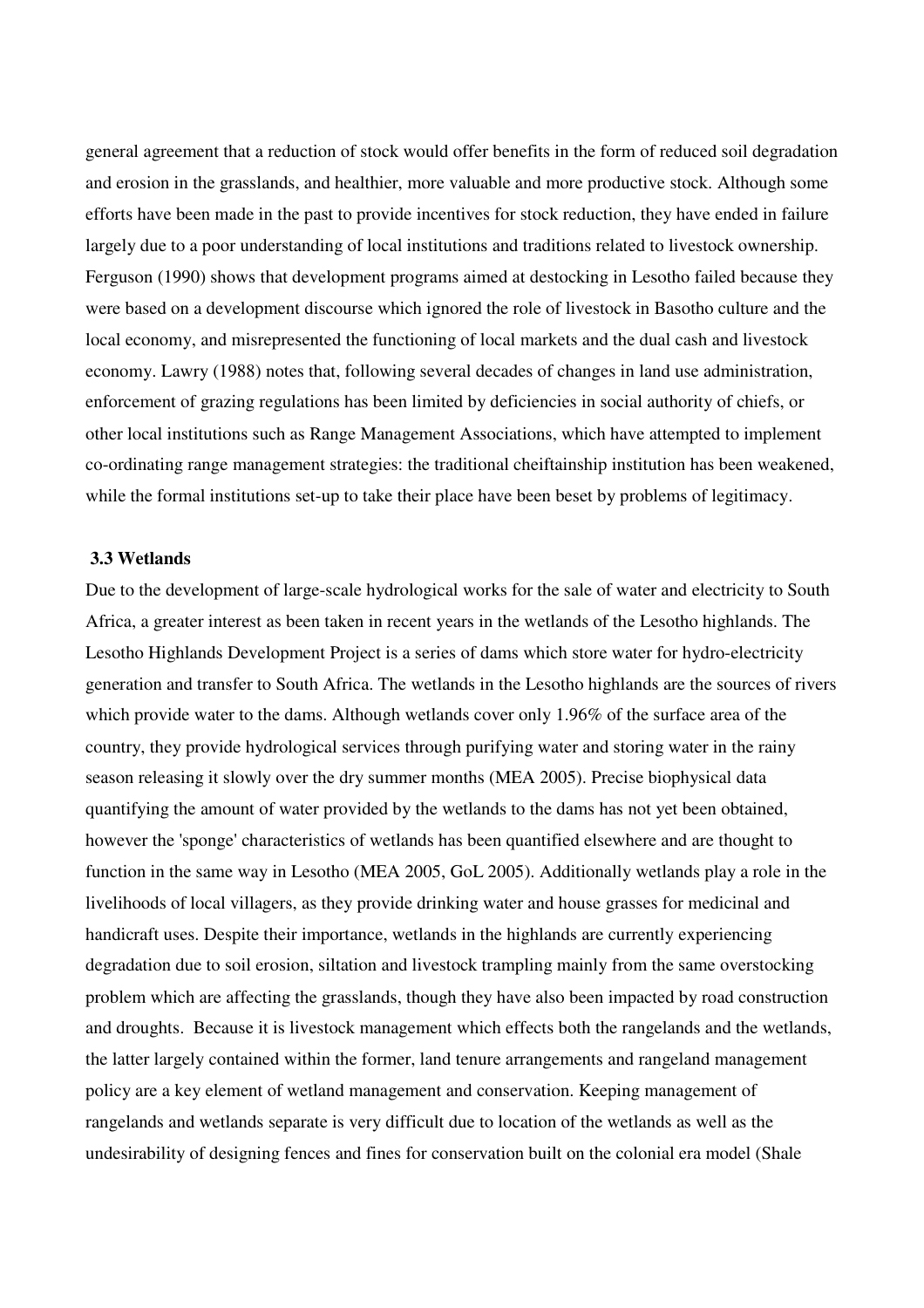general agreement that a reduction of stock would offer benefits in the form of reduced soil degradation and erosion in the grasslands, and healthier, more valuable and more productive stock. Although some efforts have been made in the past to provide incentives for stock reduction, they have ended in failure largely due to a poor understanding of local institutions and traditions related to livestock ownership. Ferguson (1990) shows that development programs aimed at destocking in Lesotho failed because they were based on a development discourse which ignored the role of livestock in Basotho culture and the local economy, and misrepresented the functioning of local markets and the dual cash and livestock economy. Lawry (1988) notes that, following several decades of changes in land use administration, enforcement of grazing regulations has been limited by deficiencies in social authority of chiefs, or other local institutions such as Range Management Associations, which have attempted to implement co-ordinating range management strategies: the traditional cheiftainship institution has been weakened, while the formal institutions set-up to take their place have been beset by problems of legitimacy.

#### **3.3 Wetlands**

Due to the development of large-scale hydrological works for the sale of water and electricity to South Africa, a greater interest as been taken in recent years in the wetlands of the Lesotho highlands. The Lesotho Highlands Development Project is a series of dams which store water for hydro-electricity generation and transfer to South Africa. The wetlands in the Lesotho highlands are the sources of rivers which provide water to the dams. Although wetlands cover only 1.96% of the surface area of the country, they provide hydrological services through purifying water and storing water in the rainy season releasing it slowly over the dry summer months (MEA 2005). Precise biophysical data quantifying the amount of water provided by the wetlands to the dams has not yet been obtained, however the 'sponge' characteristics of wetlands has been quantified elsewhere and are thought to function in the same way in Lesotho (MEA 2005, GoL 2005). Additionally wetlands play a role in the livelihoods of local villagers, as they provide drinking water and house grasses for medicinal and handicraft uses. Despite their importance, wetlands in the highlands are currently experiencing degradation due to soil erosion, siltation and livestock trampling mainly from the same overstocking problem which are affecting the grasslands, though they have also been impacted by road construction and droughts. Because it is livestock management which effects both the rangelands and the wetlands, the latter largely contained within the former, land tenure arrangements and rangeland management policy are a key element of wetland management and conservation. Keeping management of rangelands and wetlands separate is very difficult due to location of the wetlands as well as the undesirability of designing fences and fines for conservation built on the colonial era model (Shale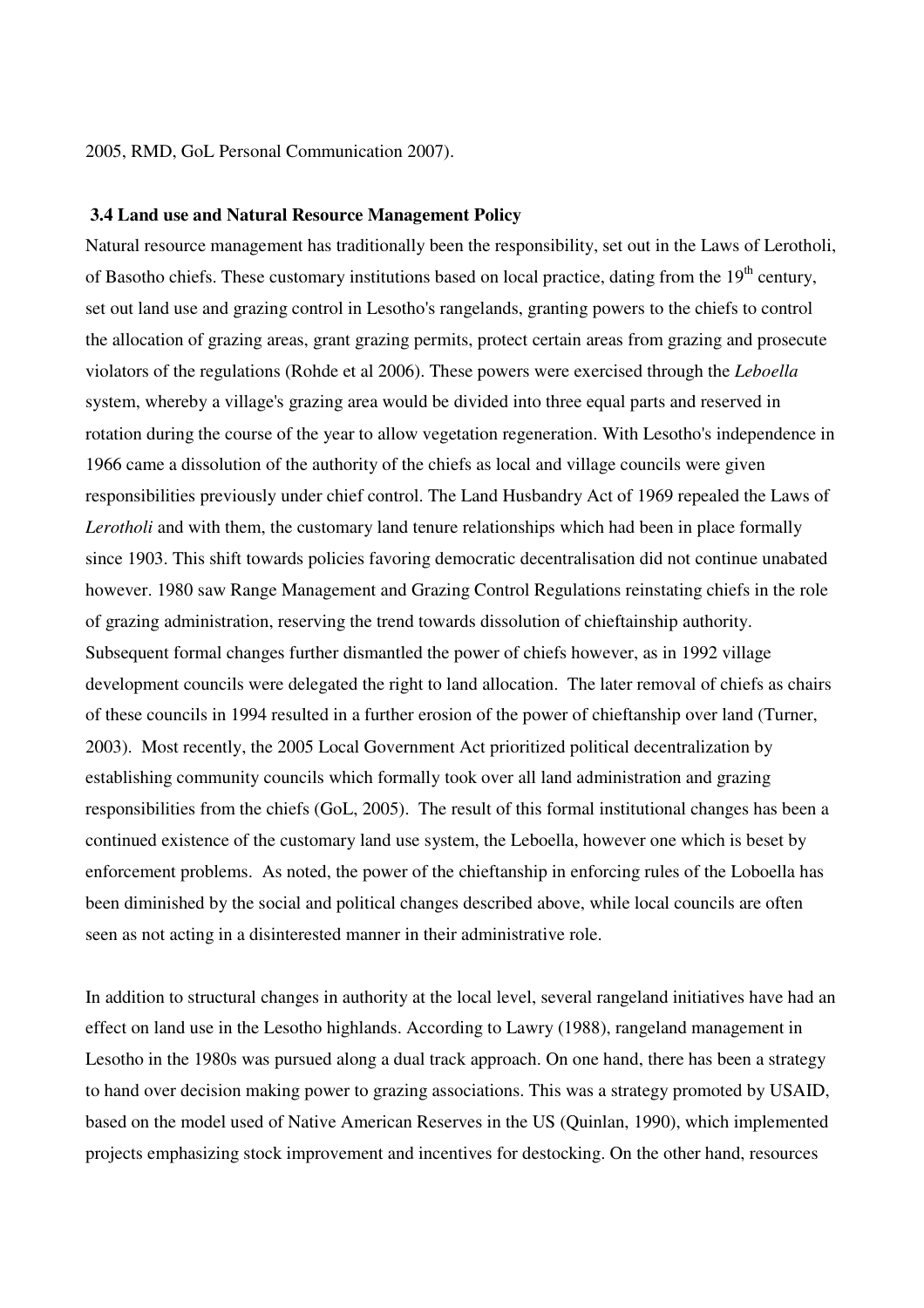#### 2005, RMD, GoL Personal Communication 2007).

#### **3.4 Land use and Natural Resource Management Policy**

Natural resource management has traditionally been the responsibility, set out in the Laws of Lerotholi, of Basotho chiefs. These customary institutions based on local practice, dating from the  $19<sup>th</sup>$  century, set out land use and grazing control in Lesotho's rangelands, granting powers to the chiefs to control the allocation of grazing areas, grant grazing permits, protect certain areas from grazing and prosecute violators of the regulations (Rohde et al 2006). These powers were exercised through the *Leboella* system, whereby a village's grazing area would be divided into three equal parts and reserved in rotation during the course of the year to allow vegetation regeneration. With Lesotho's independence in 1966 came a dissolution of the authority of the chiefs as local and village councils were given responsibilities previously under chief control. The Land Husbandry Act of 1969 repealed the Laws of Lerotholi and with them, the customary land tenure relationships which had been in place formally since 1903. This shift towards policies favoring democratic decentralisation did not continue unabated however. 1980 saw Range Management and Grazing Control Regulations reinstating chiefs in the role of grazing administration, reserving the trend towards dissolution of chieftainship authority. Subsequent formal changes further dismantled the power of chiefs however, as in 1992 village development councils were delegated the right to land allocation. The later removal of chiefs as chairs of these councils in 1994 resulted in a further erosion of the power of chieftanship over land (Turner, 2003). Most recently, the 2005 Local Government Act prioritized political decentralization by establishing community councils which formally took over all land administration and grazing responsibilities from the chiefs (GoL, 2005). The result of this formal institutional changes has been a continued existence of the customary land use system, the Leboella, however one which is beset by enforcement problems. As noted, the power of the chieftanship in enforcing rules of the Loboella has been diminished by the social and political changes described above, while local councils are often seen as not acting in a disinterested manner in their administrative role.

In addition to structural changes in authority at the local level, several rangeland initiatives have had an effect on land use in the Lesotho highlands. According to Lawry (1988), rangeland management in Lesotho in the 1980s was pursued along a dual track approach. On one hand, there has been a strategy to hand over decision making power to grazing associations. This was a strategy promoted by USAID, based on the model used of Native American Reserves in the US (Quinlan, 1990), which implemented projects emphasizing stock improvement and incentives for destocking. On the other hand, resources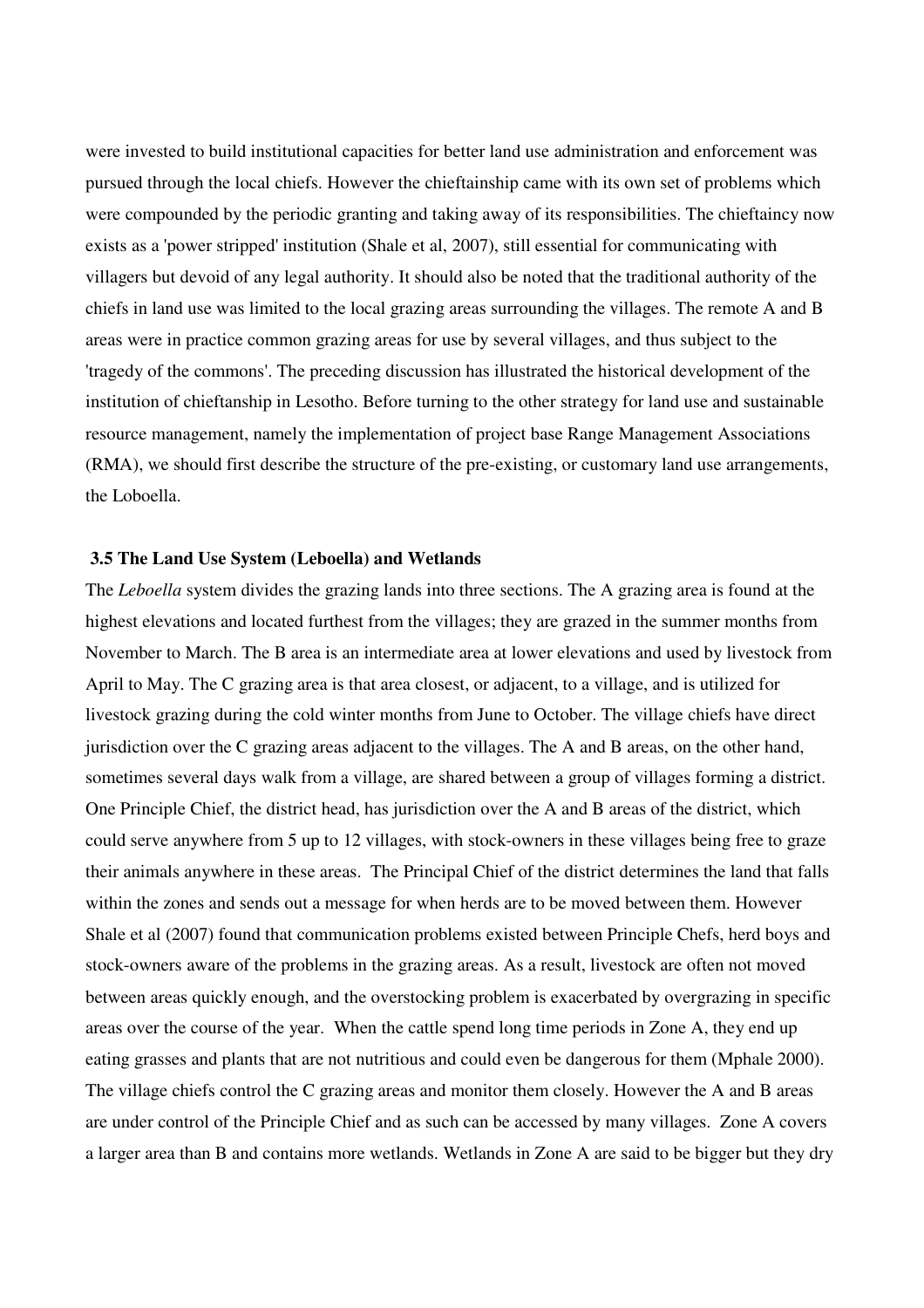were invested to build institutional capacities for better land use administration and enforcement was pursued through the local chiefs. However the chieftainship came with its own set of problems which were compounded by the periodic granting and taking away of its responsibilities. The chieftaincy now exists as a 'power stripped' institution (Shale et al, 2007), still essential for communicating with villagers but devoid of any legal authority. It should also be noted that the traditional authority of the chiefs in land use was limited to the local grazing areas surrounding the villages. The remote A and B areas were in practice common grazing areas for use by several villages, and thus subject to the 'tragedy of the commons'. The preceding discussion has illustrated the historical development of the institution of chieftanship in Lesotho. Before turning to the other strategy for land use and sustainable resource management, namely the implementation of project base Range Management Associations (RMA), we should first describe the structure of the pre-existing, or customary land use arrangements, the Loboella.

#### **3.5 The Land Use System (Leboella) and Wetlands**

The *Leboella* system divides the grazing lands into three sections. The A grazing area is found at the highest elevations and located furthest from the villages; they are grazed in the summer months from November to March. The B area is an intermediate area at lower elevations and used by livestock from April to May. The C grazing area is that area closest, or adjacent, to a village, and is utilized for livestock grazing during the cold winter months from June to October. The village chiefs have direct jurisdiction over the C grazing areas adjacent to the villages. The A and B areas, on the other hand, sometimes several days walk from a village, are shared between a group of villages forming a district. One Principle Chief, the district head, has jurisdiction over the A and B areas of the district, which could serve anywhere from 5 up to 12 villages, with stock-owners in these villages being free to graze their animals anywhere in these areas. The Principal Chief of the district determines the land that falls within the zones and sends out a message for when herds are to be moved between them. However Shale et al (2007) found that communication problems existed between Principle Chefs, herd boys and stock-owners aware of the problems in the grazing areas. As a result, livestock are often not moved between areas quickly enough, and the overstocking problem is exacerbated by overgrazing in specific areas over the course of the year. When the cattle spend long time periods in Zone A, they end up eating grasses and plants that are not nutritious and could even be dangerous for them (Mphale 2000). The village chiefs control the C grazing areas and monitor them closely. However the A and B areas are under control of the Principle Chief and as such can be accessed by many villages. Zone A covers a larger area than B and contains more wetlands. Wetlands in Zone A are said to be bigger but they dry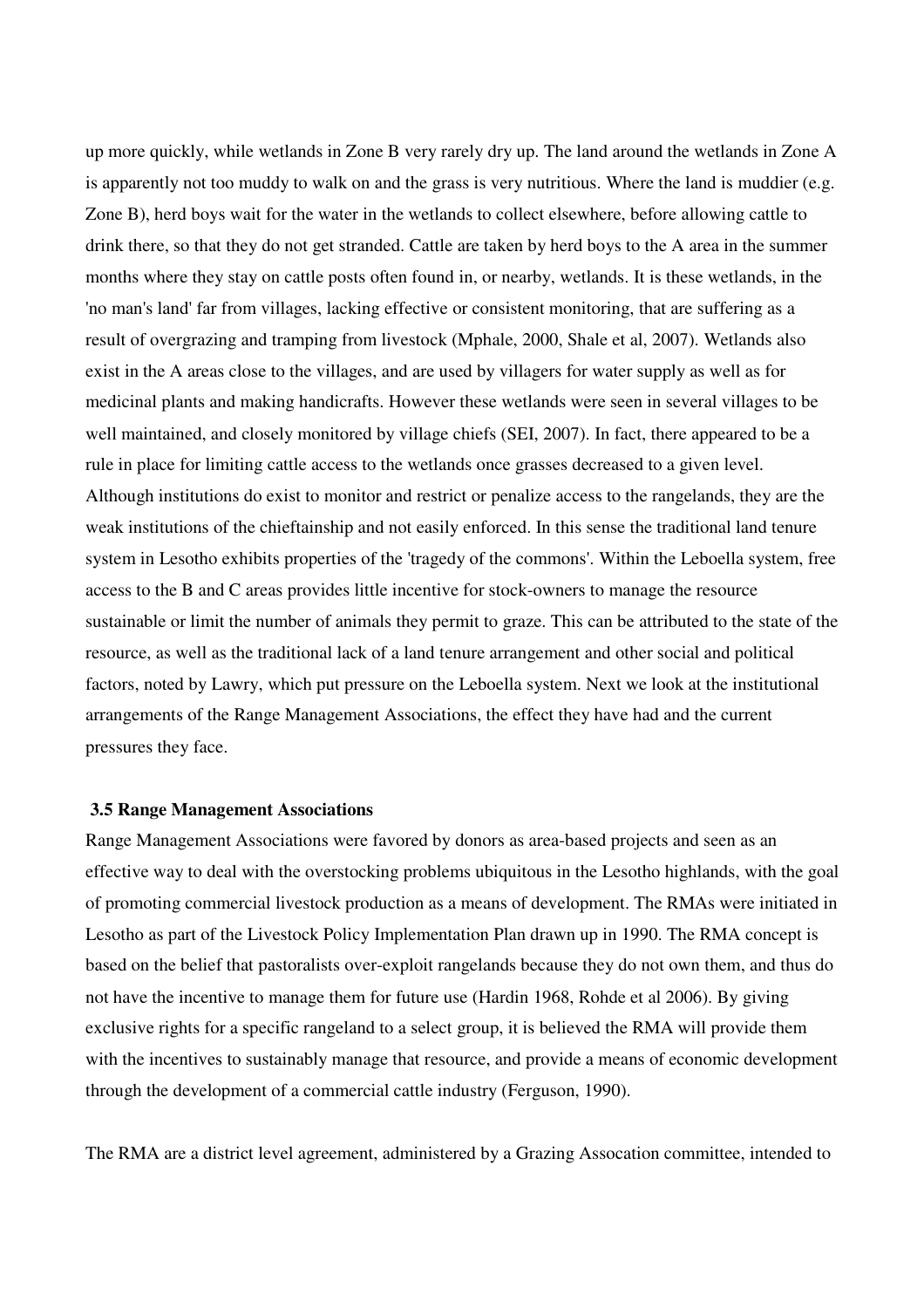up more quickly, while wetlands in Zone B very rarely dry up. The land around the wetlands in Zone A is apparently not too muddy to walk on and the grass is very nutritious. Where the land is muddier (e.g. Zone B), herd boys wait for the water in the wetlands to collect elsewhere, before allowing cattle to drink there, so that they do not get stranded. Cattle are taken by herd boys to the A area in the summer months where they stay on cattle posts often found in, or nearby, wetlands. It is these wetlands, in the 'no man's land' far from villages, lacking effective or consistent monitoring, that are suffering as a result of overgrazing and tramping from livestock (Mphale, 2000, Shale et al, 2007). Wetlands also exist in the A areas close to the villages, and are used by villagers for water supply as well as for medicinal plants and making handicrafts. However these wetlands were seen in several villages to be well maintained, and closely monitored by village chiefs (SEI, 2007). In fact, there appeared to be a rule in place for limiting cattle access to the wetlands once grasses decreased to a given level. Although institutions do exist to monitor and restrict or penalize access to the rangelands, they are the weak institutions of the chieftainship and not easily enforced. In this sense the traditional land tenure system in Lesotho exhibits properties of the 'tragedy of the commons'. Within the Leboella system, free access to the B and C areas provides little incentive for stock-owners to manage the resource sustainable or limit the number of animals they permit to graze. This can be attributed to the state of the resource, as well as the traditional lack of a land tenure arrangement and other social and political factors, noted by Lawry, which put pressure on the Leboella system. Next we look at the institutional arrangements of the Range Management Associations, the effect they have had and the current pressures they face.

#### **3.5 Range Management Associations**

Range Management Associations were favored by donors as area-based projects and seen as an effective way to deal with the overstocking problems ubiquitous in the Lesotho highlands, with the goal of promoting commercial livestock production as a means of development. The RMAs were initiated in Lesotho as part of the Livestock Policy Implementation Plan drawn up in 1990. The RMA concept is based on the belief that pastoralists over-exploit rangelands because they do not own them, and thus do not have the incentive to manage them for future use (Hardin 1968, Rohde et al 2006). By giving exclusive rights for a specific rangeland to a select group, it is believed the RMA will provide them with the incentives to sustainably manage that resource, and provide a means of economic development through the development of a commercial cattle industry (Ferguson, 1990).

The RMA are a district level agreement, administered by a Grazing Assocation committee, intended to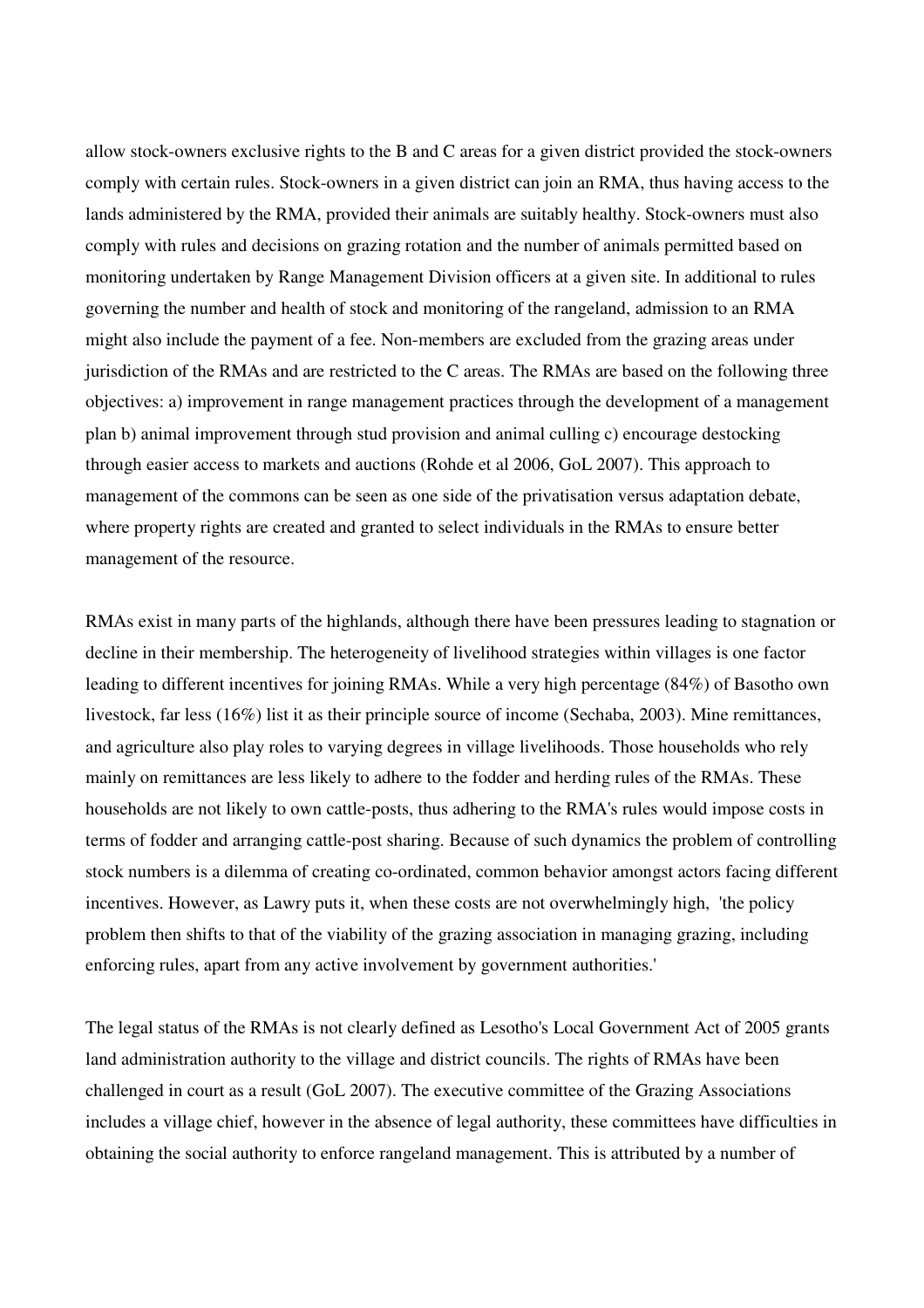allow stock-owners exclusive rights to the B and C areas for a given district provided the stock-owners comply with certain rules. Stock-owners in a given district can join an RMA, thus having access to the lands administered by the RMA, provided their animals are suitably healthy. Stock-owners must also comply with rules and decisions on grazing rotation and the number of animals permitted based on monitoring undertaken by Range Management Division officers at a given site. In additional to rules governing the number and health of stock and monitoring of the rangeland, admission to an RMA might also include the payment of a fee. Non-members are excluded from the grazing areas under jurisdiction of the RMAs and are restricted to the C areas. The RMAs are based on the following three objectives: a) improvement in range management practices through the development of a management plan b) animal improvement through stud provision and animal culling c) encourage destocking through easier access to markets and auctions (Rohde et al 2006, GoL 2007). This approach to management of the commons can be seen as one side of the privatisation versus adaptation debate, where property rights are created and granted to select individuals in the RMAs to ensure better management of the resource.

RMAs exist in many parts of the highlands, although there have been pressures leading to stagnation or decline in their membership. The heterogeneity of livelihood strategies within villages is one factor leading to different incentives for joining RMAs. While a very high percentage (84%) of Basotho own livestock, far less (16%) list it as their principle source of income (Sechaba, 2003). Mine remittances, and agriculture also play roles to varying degrees in village livelihoods. Those households who rely mainly on remittances are less likely to adhere to the fodder and herding rules of the RMAs. These households are not likely to own cattle-posts, thus adhering to the RMA's rules would impose costs in terms of fodder and arranging cattle-post sharing. Because of such dynamics the problem of controlling stock numbers is a dilemma of creating co-ordinated, common behavior amongst actors facing different incentives. However, as Lawry puts it, when these costs are not overwhelmingly high, 'the policy problem then shifts to that of the viability of the grazing association in managing grazing, including enforcing rules, apart from any active involvement by government authorities.'

The legal status of the RMAs is not clearly defined as Lesotho's Local Government Act of 2005 grants land administration authority to the village and district councils. The rights of RMAs have been challenged in court as a result (GoL 2007). The executive committee of the Grazing Associations includes a village chief, however in the absence of legal authority, these committees have difficulties in obtaining the social authority to enforce rangeland management. This is attributed by a number of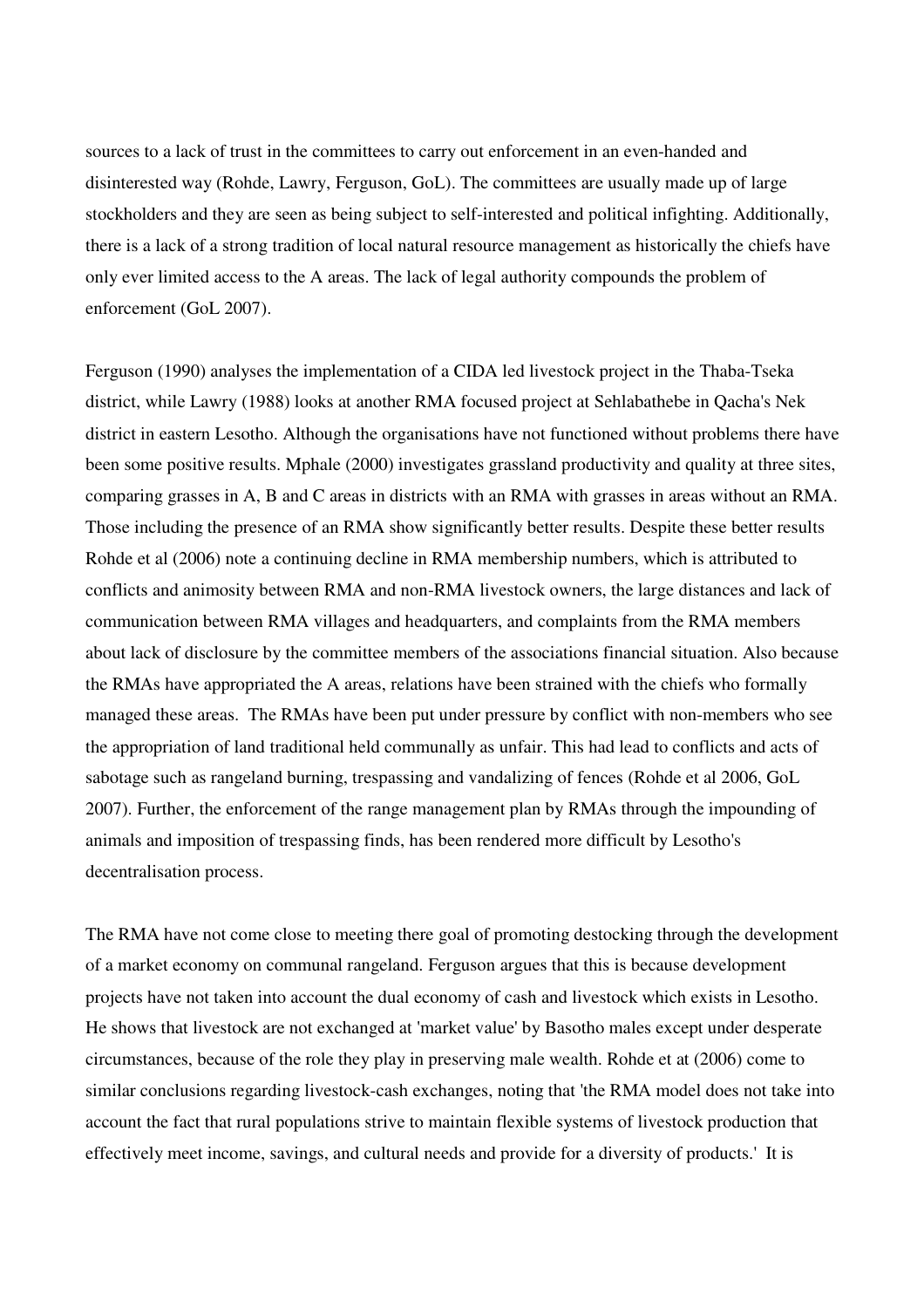sources to a lack of trust in the committees to carry out enforcement in an even-handed and disinterested way (Rohde, Lawry, Ferguson, GoL). The committees are usually made up of large stockholders and they are seen as being subject to self-interested and political infighting. Additionally, there is a lack of a strong tradition of local natural resource management as historically the chiefs have only ever limited access to the A areas. The lack of legal authority compounds the problem of enforcement (GoL 2007).

Ferguson (1990) analyses the implementation of a CIDA led livestock project in the Thaba-Tseka district, while Lawry (1988) looks at another RMA focused project at Sehlabathebe in Qacha's Nek district in eastern Lesotho. Although the organisations have not functioned without problems there have been some positive results. Mphale (2000) investigates grassland productivity and quality at three sites, comparing grasses in A, B and C areas in districts with an RMA with grasses in areas without an RMA. Those including the presence of an RMA show significantly better results. Despite these better results Rohde et al (2006) note a continuing decline in RMA membership numbers, which is attributed to conflicts and animosity between RMA and non-RMA livestock owners, the large distances and lack of communication between RMA villages and headquarters, and complaints from the RMA members about lack of disclosure by the committee members of the associations financial situation. Also because the RMAs have appropriated the A areas, relations have been strained with the chiefs who formally managed these areas. The RMAs have been put under pressure by conflict with non-members who see the appropriation of land traditional held communally as unfair. This had lead to conflicts and acts of sabotage such as rangeland burning, trespassing and vandalizing of fences (Rohde et al 2006, GoL 2007). Further, the enforcement of the range management plan by RMAs through the impounding of animals and imposition of trespassing finds, has been rendered more difficult by Lesotho's decentralisation process.

The RMA have not come close to meeting there goal of promoting destocking through the development of a market economy on communal rangeland. Ferguson argues that this is because development projects have not taken into account the dual economy of cash and livestock which exists in Lesotho. He shows that livestock are not exchanged at 'market value' by Basotho males except under desperate circumstances, because of the role they play in preserving male wealth. Rohde et at (2006) come to similar conclusions regarding livestock-cash exchanges, noting that 'the RMA model does not take into account the fact that rural populations strive to maintain flexible systems of livestock production that effectively meet income, savings, and cultural needs and provide for a diversity of products.' It is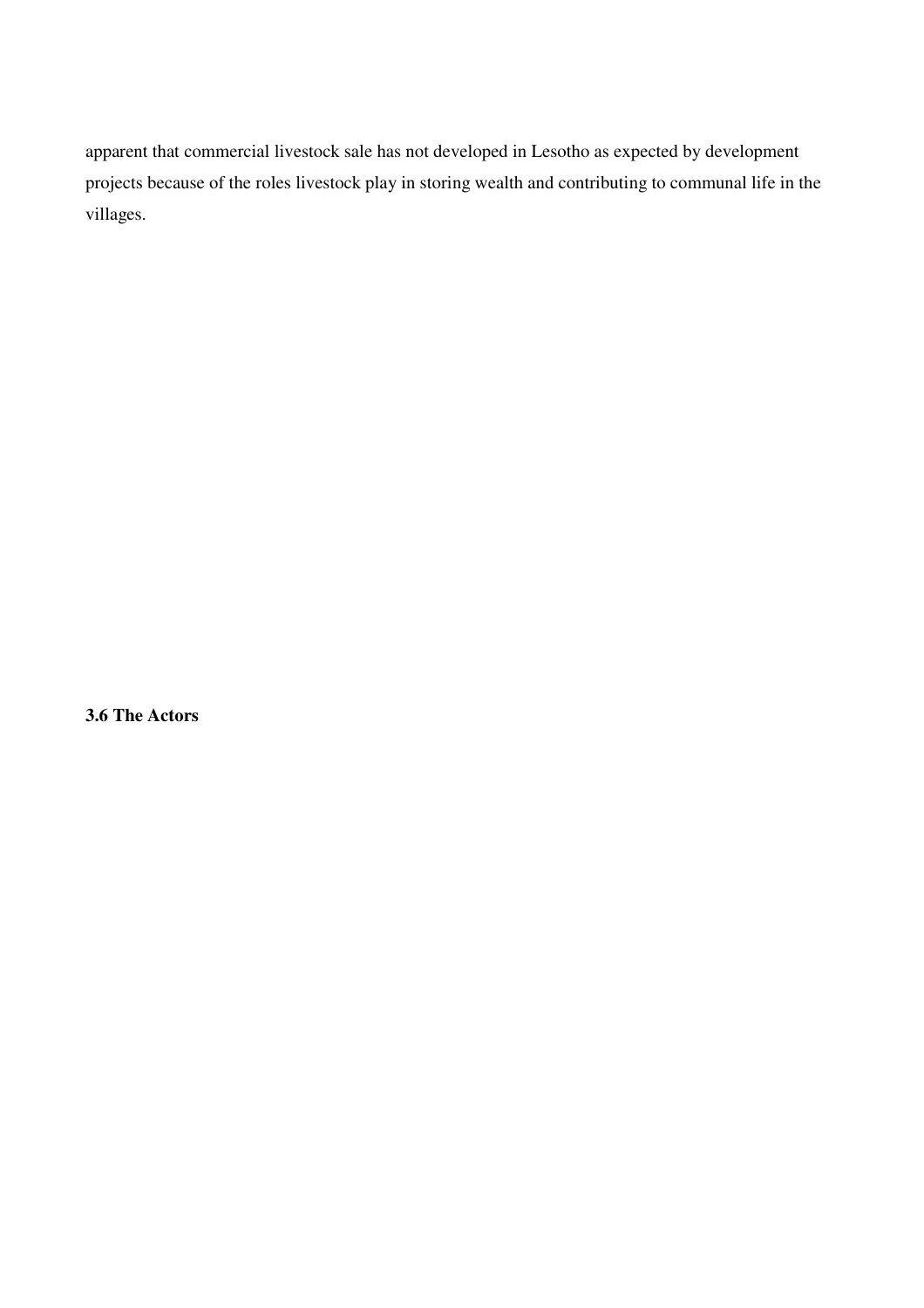apparent that commercial livestock sale has not developed in Lesotho as expected by development projects because of the roles livestock play in storing wealth and contributing to communal life in the villages.

**3.6 The Actors**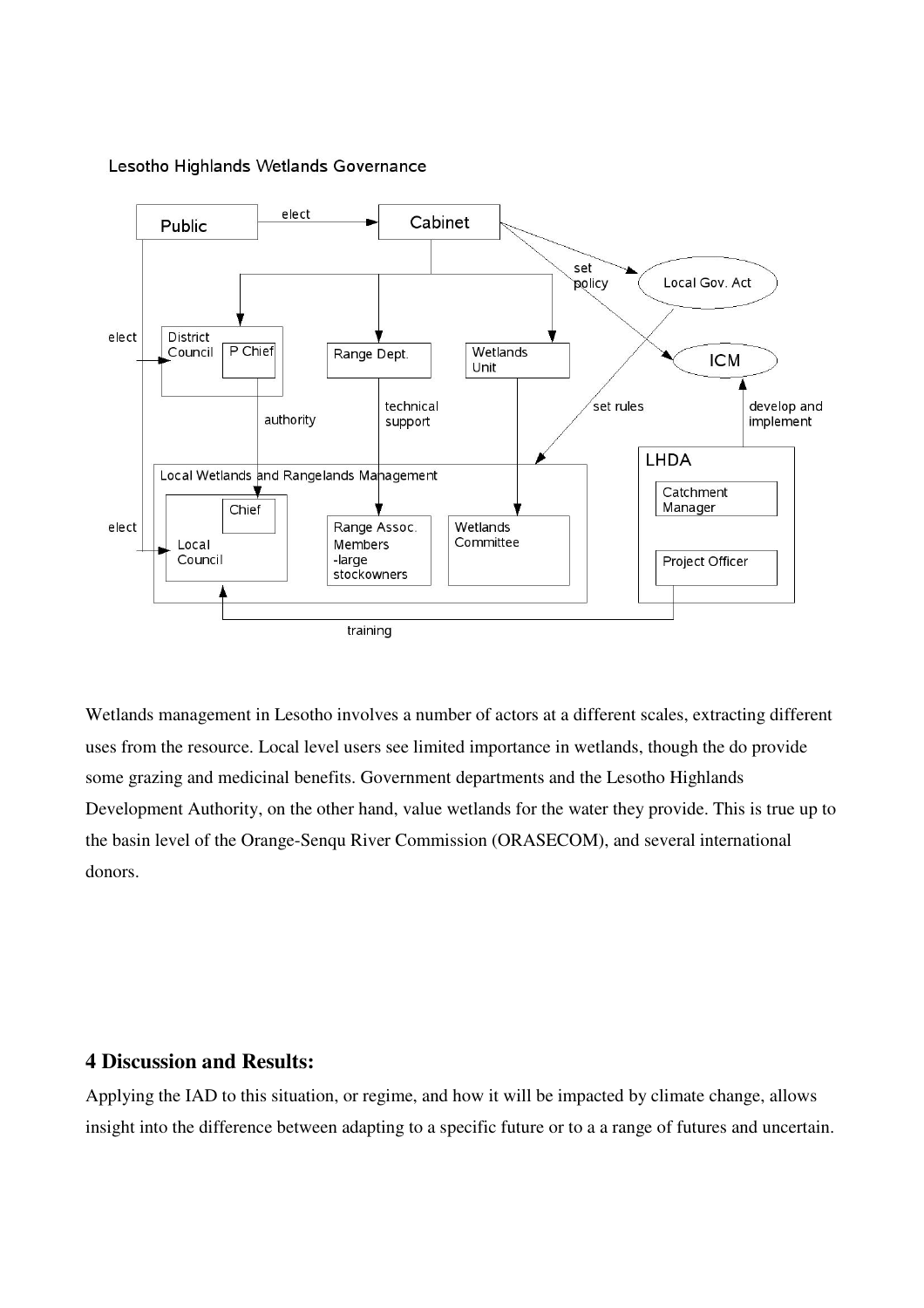

## Lesotho Highlands Wetlands Governance

Wetlands management in Lesotho involves a number of actors at a different scales, extracting different uses from the resource. Local level users see limited importance in wetlands, though the do provide some grazing and medicinal benefits. Government departments and the Lesotho Highlands Development Authority, on the other hand, value wetlands for the water they provide. This is true up to the basin level of the Orange-Senqu River Commission (ORASECOM), and several international donors.

# **4 Discussion and Results:**

Applying the IAD to this situation, or regime, and how it will be impacted by climate change, allows insight into the difference between adapting to a specific future or to a a range of futures and uncertain.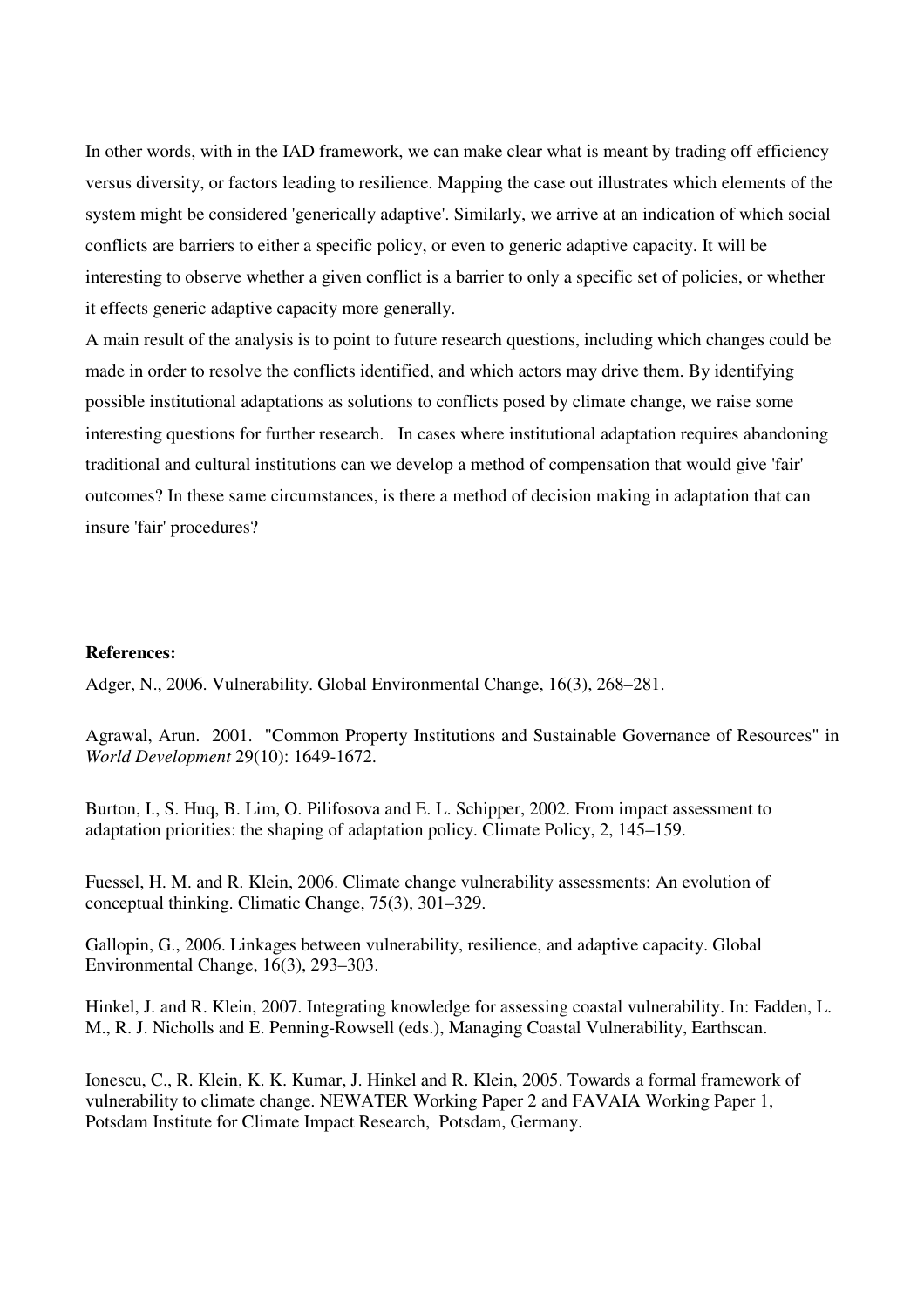In other words, with in the IAD framework, we can make clear what is meant by trading off efficiency versus diversity, or factors leading to resilience. Mapping the case out illustrates which elements of the system might be considered 'generically adaptive'. Similarly, we arrive at an indication of which social conflicts are barriers to either a specific policy, or even to generic adaptive capacity. It will be interesting to observe whether a given conflict is a barrier to only a specific set of policies, or whether it effects generic adaptive capacity more generally.

A main result of the analysis is to point to future research questions, including which changes could be made in order to resolve the conflicts identified, and which actors may drive them. By identifying possible institutional adaptations as solutions to conflicts posed by climate change, we raise some interesting questions for further research. In cases where institutional adaptation requires abandoning traditional and cultural institutions can we develop a method of compensation that would give 'fair' outcomes? In these same circumstances, is there a method of decision making in adaptation that can insure 'fair' procedures?

## **References:**

Adger, N., 2006. Vulnerability. Global Environmental Change, 16(3), 268–281.

Agrawal, Arun. 2001. "Common Property Institutions and Sustainable Governance of Resources" in *World Development* 29(10): 1649-1672.

Burton, I., S. Huq, B. Lim, O. Pilifosova and E. L. Schipper, 2002. From impact assessment to adaptation priorities: the shaping of adaptation policy. Climate Policy, 2, 145–159.

Fuessel, H. M. and R. Klein, 2006. Climate change vulnerability assessments: An evolution of conceptual thinking. Climatic Change, 75(3), 301–329.

Gallopin, G., 2006. Linkages between vulnerability, resilience, and adaptive capacity. Global Environmental Change, 16(3), 293–303.

Hinkel, J. and R. Klein, 2007. Integrating knowledge for assessing coastal vulnerability. In: Fadden, L. M., R. J. Nicholls and E. Penning-Rowsell (eds.), Managing Coastal Vulnerability, Earthscan.

Ionescu, C., R. Klein, K. K. Kumar, J. Hinkel and R. Klein, 2005. Towards a formal framework of vulnerability to climate change. NEWATER Working Paper 2 and FAVAIA Working Paper 1, Potsdam Institute for Climate Impact Research, Potsdam, Germany.